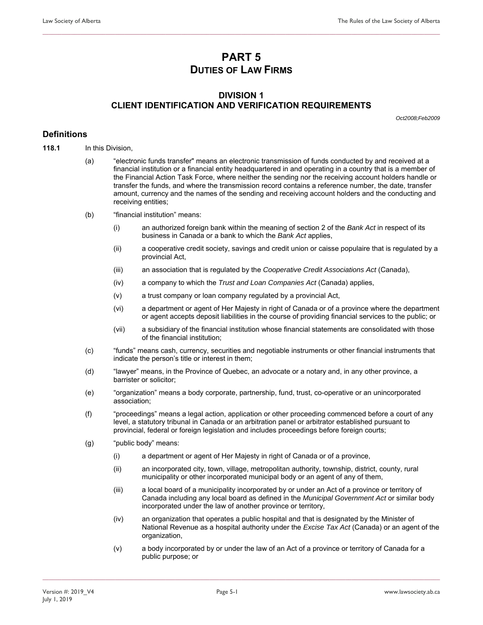# **PART 5 DUTIES OF LAW FIRMS**

**\_\_\_\_\_\_\_\_\_\_\_\_\_\_\_\_\_\_\_\_\_\_\_\_\_\_\_\_\_\_\_\_\_\_\_\_\_\_\_\_\_\_\_\_\_\_\_\_\_\_\_\_\_\_\_\_\_\_\_\_\_\_\_\_\_\_\_\_\_\_\_\_\_\_\_\_\_\_\_\_\_\_\_\_\_\_\_\_\_\_\_\_\_\_\_\_\_\_\_\_\_\_\_\_\_\_\_\_\_\_\_\_\_\_\_\_\_\_\_\_\_\_\_\_\_\_** 

### **DIVISION 1 CLIENT IDENTIFICATION AND VERIFICATION REQUIREMENTS**

*Oct2008;Feb2009* 

#### **Definitions**

- **118.1** In this Division,
	- (a) "electronic funds transfer" means an electronic transmission of funds conducted by and received at a financial institution or a financial entity headquartered in and operating in a country that is a member of the Financial Action Task Force, where neither the sending nor the receiving account holders handle or transfer the funds, and where the transmission record contains a reference number, the date, transfer amount, currency and the names of the sending and receiving account holders and the conducting and receiving entities;
	- (b) "financial institution" means:
		- (i) an authorized foreign bank within the meaning of section 2 of the *Bank Act* in respect of its business in Canada or a bank to which the *Bank Act* applies,
		- (ii) a cooperative credit society, savings and credit union or caisse populaire that is regulated by a provincial Act,
		- (iii) an association that is regulated by the *Cooperative Credit Associations Act* (Canada),
		- (iv) a company to which the *Trust and Loan Companies Act* (Canada) applies,
		- (v) a trust company or loan company regulated by a provincial Act,
		- (vi) a department or agent of Her Majesty in right of Canada or of a province where the department or agent accepts deposit liabilities in the course of providing financial services to the public; or
		- (vii) a subsidiary of the financial institution whose financial statements are consolidated with those of the financial institution;
	- (c) "funds" means cash, currency, securities and negotiable instruments or other financial instruments that indicate the person's title or interest in them;
	- (d) "lawyer" means, in the Province of Quebec, an advocate or a notary and, in any other province, a barrister or solicitor;
	- (e) "organization" means a body corporate, partnership, fund, trust, co-operative or an unincorporated association;
	- (f) "proceedings" means a legal action, application or other proceeding commenced before a court of any level, a statutory tribunal in Canada or an arbitration panel or arbitrator established pursuant to provincial, federal or foreign legislation and includes proceedings before foreign courts;
	- (g) "public body" means:
		- (i) a department or agent of Her Majesty in right of Canada or of a province,
		- (ii) an incorporated city, town, village, metropolitan authority, township, district, county, rural municipality or other incorporated municipal body or an agent of any of them,
		- (iii) a local board of a municipality incorporated by or under an Act of a province or territory of Canada including any local board as defined in the *Municipal Government Act* or similar body incorporated under the law of another province or territory,
		- (iv) an organization that operates a public hospital and that is designated by the Minister of National Revenue as a hospital authority under the *Excise Tax Act* (Canada) or an agent of the organization,
		- (v) a body incorporated by or under the law of an Act of a province or territory of Canada for a public purpose; or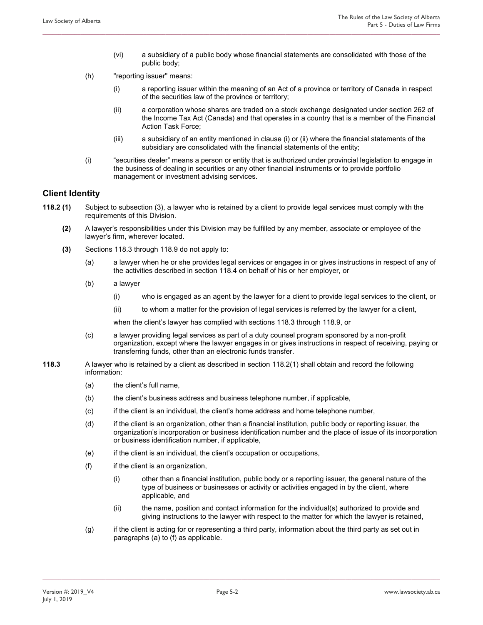(vi) a subsidiary of a public body whose financial statements are consolidated with those of the public body;

**\_\_\_\_\_\_\_\_\_\_\_\_\_\_\_\_\_\_\_\_\_\_\_\_\_\_\_\_\_\_\_\_\_\_\_\_\_\_\_\_\_\_\_\_\_\_\_\_\_\_\_\_\_\_\_\_\_\_\_\_\_\_\_\_\_\_\_\_\_\_\_\_\_\_\_\_\_\_\_\_\_\_\_\_\_\_\_\_\_\_\_\_\_\_\_\_\_\_\_\_\_\_\_\_\_\_\_\_\_\_\_\_\_\_\_\_\_\_\_\_\_\_\_\_\_\_** 

- (h) "reporting issuer" means:
	- (i) a reporting issuer within the meaning of an Act of a province or territory of Canada in respect of the securities law of the province or territory;
	- (ii) a corporation whose shares are traded on a stock exchange designated under section 262 of the Income Tax Act (Canada) and that operates in a country that is a member of the Financial Action Task Force;
	- (iii) a subsidiary of an entity mentioned in clause (i) or (ii) where the financial statements of the subsidiary are consolidated with the financial statements of the entity;
- (i) "securities dealer" means a person or entity that is authorized under provincial legislation to engage in the business of dealing in securities or any other financial instruments or to provide portfolio management or investment advising services.

#### **Client Identity**

- **118.2 (1)** Subject to subsection (3), a lawyer who is retained by a client to provide legal services must comply with the requirements of this Division.
	- **(2)** A lawyer's responsibilities under this Division may be fulfilled by any member, associate or employee of the lawyer's firm, wherever located.
	- **(3)** Sections 118.3 through 118.9 do not apply to:
		- (a) a lawyer when he or she provides legal services or engages in or gives instructions in respect of any of the activities described in section 118.4 on behalf of his or her employer, or
		- (b) a lawyer
			- (i) who is engaged as an agent by the lawyer for a client to provide legal services to the client, or
			- (ii) to whom a matter for the provision of legal services is referred by the lawyer for a client,

when the client's lawyer has complied with sections 118.3 through 118.9, or

- (c) a lawyer providing legal services as part of a duty counsel program sponsored by a non-profit organization, except where the lawyer engages in or gives instructions in respect of receiving, paying or transferring funds, other than an electronic funds transfer.
- **118.3** A lawyer who is retained by a client as described in section 118.2(1) shall obtain and record the following information:
	- (a) the client's full name,
	- (b) the client's business address and business telephone number, if applicable,
	- (c) if the client is an individual, the client's home address and home telephone number,
	- (d) if the client is an organization, other than a financial institution, public body or reporting issuer, the organization's incorporation or business identification number and the place of issue of its incorporation or business identification number, if applicable,
	- (e) if the client is an individual, the client's occupation or occupations,
	- (f) if the client is an organization,
		- (i) other than a financial institution, public body or a reporting issuer, the general nature of the type of business or businesses or activity or activities engaged in by the client, where applicable, and
		- (ii) the name, position and contact information for the individual(s) authorized to provide and giving instructions to the lawyer with respect to the matter for which the lawyer is retained,
	- (g) if the client is acting for or representing a third party, information about the third party as set out in paragraphs (a) to (f) as applicable.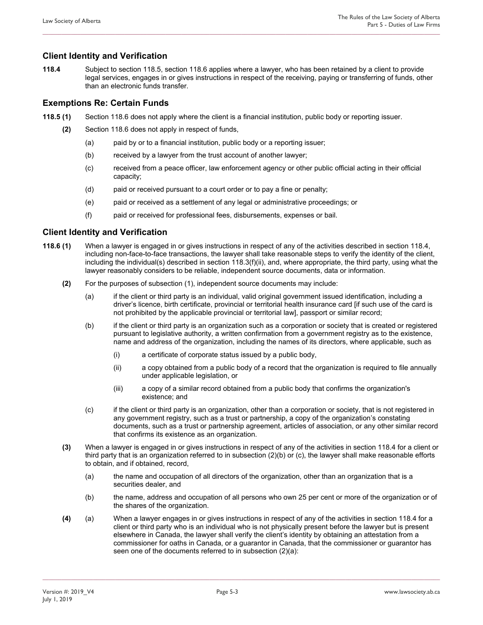### **Client Identity and Verification**

**118.4** Subject to section 118.5, section 118.6 applies where a lawyer, who has been retained by a client to provide legal services, engages in or gives instructions in respect of the receiving, paying or transferring of funds, other than an electronic funds transfer.

**\_\_\_\_\_\_\_\_\_\_\_\_\_\_\_\_\_\_\_\_\_\_\_\_\_\_\_\_\_\_\_\_\_\_\_\_\_\_\_\_\_\_\_\_\_\_\_\_\_\_\_\_\_\_\_\_\_\_\_\_\_\_\_\_\_\_\_\_\_\_\_\_\_\_\_\_\_\_\_\_\_\_\_\_\_\_\_\_\_\_\_\_\_\_\_\_\_\_\_\_\_\_\_\_\_\_\_\_\_\_\_\_\_\_\_\_\_\_\_\_\_\_\_\_\_\_** 

### **Exemptions Re: Certain Funds**

- **118.5 (1)** Section 118.6 does not apply where the client is a financial institution, public body or reporting issuer.
	- **(2)** Section 118.6 does not apply in respect of funds,
		- (a) paid by or to a financial institution, public body or a reporting issuer;
		- (b) received by a lawyer from the trust account of another lawyer;
		- (c) received from a peace officer, law enforcement agency or other public official acting in their official capacity;
		- (d) paid or received pursuant to a court order or to pay a fine or penalty;
		- (e) paid or received as a settlement of any legal or administrative proceedings; or
		- (f) paid or received for professional fees, disbursements, expenses or bail.

### **Client Identity and Verification**

- **118.6 (1)** When a lawyer is engaged in or gives instructions in respect of any of the activities described in section 118.4, including non-face-to-face transactions, the lawyer shall take reasonable steps to verify the identity of the client, including the individual(s) described in section 118.3(f)(ii), and, where appropriate, the third party, using what the lawyer reasonably considers to be reliable, independent source documents, data or information.
	- **(2)** For the purposes of subsection (1), independent source documents may include:
		- (a) if the client or third party is an individual, valid original government issued identification, including a driver's licence, birth certificate, provincial or territorial health insurance card [if such use of the card is not prohibited by the applicable provincial or territorial law], passport or similar record;
		- (b) if the client or third party is an organization such as a corporation or society that is created or registered pursuant to legislative authority, a written confirmation from a government registry as to the existence, name and address of the organization, including the names of its directors, where applicable, such as
			- (i) a certificate of corporate status issued by a public body,
			- (ii) a copy obtained from a public body of a record that the organization is required to file annually under applicable legislation, or
			- (iii) a copy of a similar record obtained from a public body that confirms the organization's existence; and
		- (c) if the client or third party is an organization, other than a corporation or society, that is not registered in any government registry, such as a trust or partnership, a copy of the organization's constating documents, such as a trust or partnership agreement, articles of association, or any other similar record that confirms its existence as an organization.
	- **(3)** When a lawyer is engaged in or gives instructions in respect of any of the activities in section 118.4 for a client or third party that is an organization referred to in subsection (2)(b) or (c), the lawyer shall make reasonable efforts to obtain, and if obtained, record,
		- (a) the name and occupation of all directors of the organization, other than an organization that is a securities dealer, and
		- (b) the name, address and occupation of all persons who own 25 per cent or more of the organization or of the shares of the organization.
	- **(4)** (a) When a lawyer engages in or gives instructions in respect of any of the activities in section 118.4 for a client or third party who is an individual who is not physically present before the lawyer but is present elsewhere in Canada, the lawyer shall verify the client's identity by obtaining an attestation from a commissioner for oaths in Canada, or a guarantor in Canada, that the commissioner or guarantor has seen one of the documents referred to in subsection (2)(a):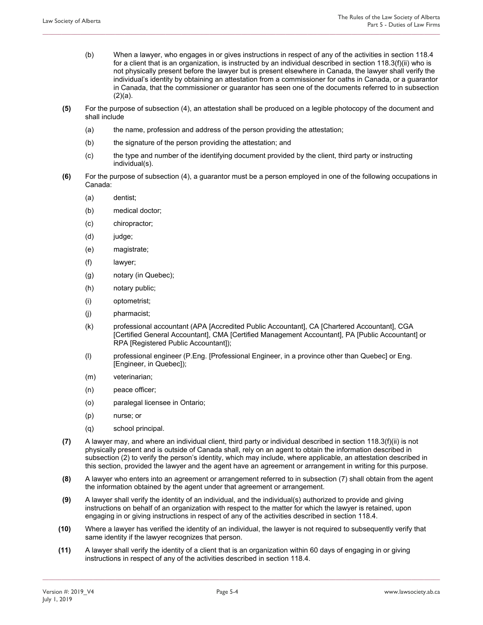- (b) When a lawyer, who engages in or gives instructions in respect of any of the activities in section 118.4 for a client that is an organization, is instructed by an individual described in section 118.3(f)(ii) who is not physically present before the lawyer but is present elsewhere in Canada, the lawyer shall verify the individual's identity by obtaining an attestation from a commissioner for oaths in Canada, or a guarantor in Canada, that the commissioner or guarantor has seen one of the documents referred to in subsection (2)(a).
- **(5)** For the purpose of subsection (4), an attestation shall be produced on a legible photocopy of the document and shall include

- (a) the name, profession and address of the person providing the attestation;
- (b) the signature of the person providing the attestation; and
- (c) the type and number of the identifying document provided by the client, third party or instructing individual(s).
- **(6)** For the purpose of subsection (4), a guarantor must be a person employed in one of the following occupations in Canada:
	- (a) dentist;
	- (b) medical doctor;
	- (c) chiropractor;
	- (d) judge;
	- (e) magistrate;
	- (f) lawyer;
	- (g) notary (in Quebec);
	- (h) notary public;
	- (i) optometrist;
	- (j) pharmacist;
	- (k) professional accountant (APA [Accredited Public Accountant], CA [Chartered Accountant], CGA [Certified General Accountant], CMA [Certified Management Accountant], PA [Public Accountant] or RPA [Registered Public Accountant]);
	- (l) professional engineer (P.Eng. [Professional Engineer, in a province other than Quebec] or Eng. [Engineer, in Quebec]);
	- (m) veterinarian;
	- (n) peace officer;
	- (o) paralegal licensee in Ontario;
	- (p) nurse; or
	- (q) school principal.
- **(7)** A lawyer may, and where an individual client, third party or individual described in section 118.3(f)(ii) is not physically present and is outside of Canada shall, rely on an agent to obtain the information described in subsection (2) to verify the person's identity, which may include, where applicable, an attestation described in this section, provided the lawyer and the agent have an agreement or arrangement in writing for this purpose.
- **(8)** A lawyer who enters into an agreement or arrangement referred to in subsection (7) shall obtain from the agent the information obtained by the agent under that agreement or arrangement.
- **(9)** A lawyer shall verify the identity of an individual, and the individual(s) authorized to provide and giving instructions on behalf of an organization with respect to the matter for which the lawyer is retained, upon engaging in or giving instructions in respect of any of the activities described in section 118.4.
- **(10)** Where a lawyer has verified the identity of an individual, the lawyer is not required to subsequently verify that same identity if the lawyer recognizes that person.

**\_\_\_\_\_\_\_\_\_\_\_\_\_\_\_\_\_\_\_\_\_\_\_\_\_\_\_\_\_\_\_\_\_\_\_\_\_\_\_\_\_\_\_\_\_\_\_\_\_\_\_\_\_\_\_\_\_\_\_\_\_\_\_\_\_\_\_\_\_\_\_\_\_\_\_\_\_\_\_\_\_\_\_\_\_\_\_\_\_\_\_\_\_\_\_\_\_\_\_\_\_\_\_\_\_\_\_\_\_\_\_\_\_\_\_\_\_\_\_\_\_\_\_\_\_\_** 

**(11)** A lawyer shall verify the identity of a client that is an organization within 60 days of engaging in or giving instructions in respect of any of the activities described in section 118.4.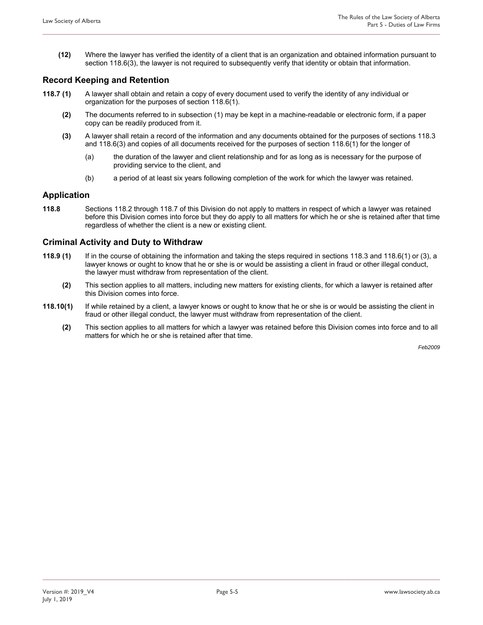**(12)** Where the lawyer has verified the identity of a client that is an organization and obtained information pursuant to section 118.6(3), the lawyer is not required to subsequently verify that identity or obtain that information.

**\_\_\_\_\_\_\_\_\_\_\_\_\_\_\_\_\_\_\_\_\_\_\_\_\_\_\_\_\_\_\_\_\_\_\_\_\_\_\_\_\_\_\_\_\_\_\_\_\_\_\_\_\_\_\_\_\_\_\_\_\_\_\_\_\_\_\_\_\_\_\_\_\_\_\_\_\_\_\_\_\_\_\_\_\_\_\_\_\_\_\_\_\_\_\_\_\_\_\_\_\_\_\_\_\_\_\_\_\_\_\_\_\_\_\_\_\_\_\_\_\_\_\_\_\_\_** 

#### **Record Keeping and Retention**

- **118.7 (1)** A lawyer shall obtain and retain a copy of every document used to verify the identity of any individual or organization for the purposes of section 118.6(1).
	- **(2)** The documents referred to in subsection (1) may be kept in a machine-readable or electronic form, if a paper copy can be readily produced from it.
	- **(3)** A lawyer shall retain a record of the information and any documents obtained for the purposes of sections 118.3 and 118.6(3) and copies of all documents received for the purposes of section 118.6(1) for the longer of
		- (a) the duration of the lawyer and client relationship and for as long as is necessary for the purpose of providing service to the client, and
		- (b) a period of at least six years following completion of the work for which the lawyer was retained.

#### **Application**

**118.8** Sections 118.2 through 118.7 of this Division do not apply to matters in respect of which a lawyer was retained before this Division comes into force but they do apply to all matters for which he or she is retained after that time regardless of whether the client is a new or existing client.

#### **Criminal Activity and Duty to Withdraw**

- **118.9 (1)** If in the course of obtaining the information and taking the steps required in sections 118.3 and 118.6(1) or (3), a lawyer knows or ought to know that he or she is or would be assisting a client in fraud or other illegal conduct, the lawyer must withdraw from representation of the client.
	- **(2)** This section applies to all matters, including new matters for existing clients, for which a lawyer is retained after this Division comes into force.
- **118.10(1)** If while retained by a client, a lawyer knows or ought to know that he or she is or would be assisting the client in fraud or other illegal conduct, the lawyer must withdraw from representation of the client.
	- **(2)** This section applies to all matters for which a lawyer was retained before this Division comes into force and to all matters for which he or she is retained after that time.

*Feb2009*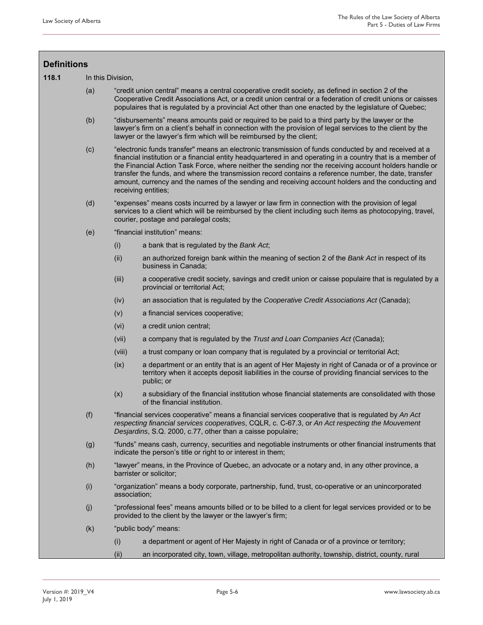| <b>Definitions</b> |     |                                                                                                                                                                                                                                                                                                                                                                                                                                                                                                                                                                     |                                                                                                                                                                                                                      |  |  |  |
|--------------------|-----|---------------------------------------------------------------------------------------------------------------------------------------------------------------------------------------------------------------------------------------------------------------------------------------------------------------------------------------------------------------------------------------------------------------------------------------------------------------------------------------------------------------------------------------------------------------------|----------------------------------------------------------------------------------------------------------------------------------------------------------------------------------------------------------------------|--|--|--|
| 118.1              |     | In this Division,                                                                                                                                                                                                                                                                                                                                                                                                                                                                                                                                                   |                                                                                                                                                                                                                      |  |  |  |
|                    | (a) | "credit union central" means a central cooperative credit society, as defined in section 2 of the<br>Cooperative Credit Associations Act, or a credit union central or a federation of credit unions or caisses<br>populaires that is regulated by a provincial Act other than one enacted by the legislature of Quebec;                                                                                                                                                                                                                                            |                                                                                                                                                                                                                      |  |  |  |
|                    | (b) | "disbursements" means amounts paid or required to be paid to a third party by the lawyer or the<br>lawyer's firm on a client's behalf in connection with the provision of legal services to the client by the<br>lawyer or the lawyer's firm which will be reimbursed by the client;                                                                                                                                                                                                                                                                                |                                                                                                                                                                                                                      |  |  |  |
|                    | (c) | "electronic funds transfer" means an electronic transmission of funds conducted by and received at a<br>financial institution or a financial entity headquartered in and operating in a country that is a member of<br>the Financial Action Task Force, where neither the sending nor the receiving account holders handle or<br>transfer the funds, and where the transmission record contains a reference number, the date, transfer<br>amount, currency and the names of the sending and receiving account holders and the conducting and<br>receiving entities; |                                                                                                                                                                                                                      |  |  |  |
|                    | (d) | "expenses" means costs incurred by a lawyer or law firm in connection with the provision of legal<br>services to a client which will be reimbursed by the client including such items as photocopying, travel,<br>courier, postage and paralegal costs;                                                                                                                                                                                                                                                                                                             |                                                                                                                                                                                                                      |  |  |  |
|                    | (e) | "financial institution" means:                                                                                                                                                                                                                                                                                                                                                                                                                                                                                                                                      |                                                                                                                                                                                                                      |  |  |  |
|                    |     | (i)                                                                                                                                                                                                                                                                                                                                                                                                                                                                                                                                                                 | a bank that is regulated by the Bank Act,                                                                                                                                                                            |  |  |  |
|                    |     | (ii)                                                                                                                                                                                                                                                                                                                                                                                                                                                                                                                                                                | an authorized foreign bank within the meaning of section 2 of the Bank Act in respect of its<br>business in Canada;                                                                                                  |  |  |  |
|                    |     | (iii)                                                                                                                                                                                                                                                                                                                                                                                                                                                                                                                                                               | a cooperative credit society, savings and credit union or caisse populaire that is regulated by a<br>provincial or territorial Act;                                                                                  |  |  |  |
|                    |     | (iv)                                                                                                                                                                                                                                                                                                                                                                                                                                                                                                                                                                | an association that is regulated by the Cooperative Credit Associations Act (Canada);                                                                                                                                |  |  |  |
|                    |     | (v)                                                                                                                                                                                                                                                                                                                                                                                                                                                                                                                                                                 | a financial services cooperative;                                                                                                                                                                                    |  |  |  |
|                    |     | (vi)                                                                                                                                                                                                                                                                                                                                                                                                                                                                                                                                                                | a credit union central;                                                                                                                                                                                              |  |  |  |
|                    |     | (vii)                                                                                                                                                                                                                                                                                                                                                                                                                                                                                                                                                               | a company that is regulated by the Trust and Loan Companies Act (Canada);                                                                                                                                            |  |  |  |
|                    |     | (viii)                                                                                                                                                                                                                                                                                                                                                                                                                                                                                                                                                              | a trust company or loan company that is regulated by a provincial or territorial Act;                                                                                                                                |  |  |  |
|                    |     | (ix)                                                                                                                                                                                                                                                                                                                                                                                                                                                                                                                                                                | a department or an entity that is an agent of Her Majesty in right of Canada or of a province or<br>territory when it accepts deposit liabilities in the course of providing financial services to the<br>public; or |  |  |  |
|                    |     | (x)                                                                                                                                                                                                                                                                                                                                                                                                                                                                                                                                                                 | a subsidiary of the financial institution whose financial statements are consolidated with those<br>of the financial institution.                                                                                    |  |  |  |
|                    | (f) | "financial services cooperative" means a financial services cooperative that is regulated by An Act<br>respecting financial services cooperatives, CQLR, c. C-67.3, or An Act respecting the Mouvement<br>Desjardins, S.Q. 2000, c.77, other than a caisse populaire;                                                                                                                                                                                                                                                                                               |                                                                                                                                                                                                                      |  |  |  |
|                    | (g) | "funds" means cash, currency, securities and negotiable instruments or other financial instruments that<br>indicate the person's title or right to or interest in them;                                                                                                                                                                                                                                                                                                                                                                                             |                                                                                                                                                                                                                      |  |  |  |
|                    | (h) | "lawyer" means, in the Province of Quebec, an advocate or a notary and, in any other province, a<br>barrister or solicitor;                                                                                                                                                                                                                                                                                                                                                                                                                                         |                                                                                                                                                                                                                      |  |  |  |
|                    | (i) | "organization" means a body corporate, partnership, fund, trust, co-operative or an unincorporated<br>association;                                                                                                                                                                                                                                                                                                                                                                                                                                                  |                                                                                                                                                                                                                      |  |  |  |
|                    | (j) | "professional fees" means amounts billed or to be billed to a client for legal services provided or to be<br>provided to the client by the lawyer or the lawyer's firm;                                                                                                                                                                                                                                                                                                                                                                                             |                                                                                                                                                                                                                      |  |  |  |
|                    | (k) |                                                                                                                                                                                                                                                                                                                                                                                                                                                                                                                                                                     | "public body" means:                                                                                                                                                                                                 |  |  |  |
|                    |     | (i)                                                                                                                                                                                                                                                                                                                                                                                                                                                                                                                                                                 | a department or agent of Her Majesty in right of Canada or of a province or territory;                                                                                                                               |  |  |  |
|                    |     | (ii)                                                                                                                                                                                                                                                                                                                                                                                                                                                                                                                                                                | an incorporated city, town, village, metropolitan authority, township, district, county, rural                                                                                                                       |  |  |  |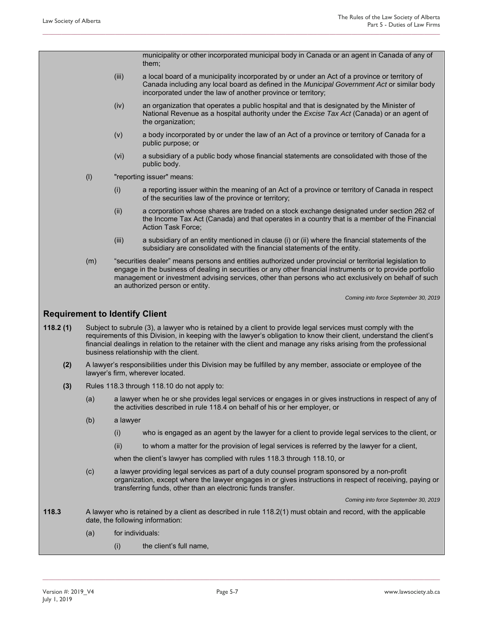municipality or other incorporated municipal body in Canada or an agent in Canada of any of them;

(iii) a local board of a municipality incorporated by or under an Act of a province or territory of Canada including any local board as defined in the *Municipal Government Act* or similar body incorporated under the law of another province or territory;

**\_\_\_\_\_\_\_\_\_\_\_\_\_\_\_\_\_\_\_\_\_\_\_\_\_\_\_\_\_\_\_\_\_\_\_\_\_\_\_\_\_\_\_\_\_\_\_\_\_\_\_\_\_\_\_\_\_\_\_\_\_\_\_\_\_\_\_\_\_\_\_\_\_\_\_\_\_\_\_\_\_\_\_\_\_\_\_\_\_\_\_\_\_\_\_\_\_\_\_\_\_\_\_\_\_\_\_\_\_\_\_\_\_\_\_\_\_\_\_\_\_\_\_\_\_\_** 

- (iv) an organization that operates a public hospital and that is designated by the Minister of National Revenue as a hospital authority under the *Excise Tax Act* (Canada) or an agent of the organization;
- (v) a body incorporated by or under the law of an Act of a province or territory of Canada for a public purpose; or
- (vi) a subsidiary of a public body whose financial statements are consolidated with those of the public body.
- (l) "reporting issuer" means:
	- (i) a reporting issuer within the meaning of an Act of a province or territory of Canada in respect of the securities law of the province or territory;
	- (ii) a corporation whose shares are traded on a stock exchange designated under section 262 of the Income Tax Act (Canada) and that operates in a country that is a member of the Financial Action Task Force;
	- (iii) a subsidiary of an entity mentioned in clause (i) or (ii) where the financial statements of the subsidiary are consolidated with the financial statements of the entity.
- (m) "securities dealer" means persons and entities authorized under provincial or territorial legislation to engage in the business of dealing in securities or any other financial instruments or to provide portfolio management or investment advising services, other than persons who act exclusively on behalf of such an authorized person or entity.

*Coming into force September 30, 2019* 

#### **Requirement to Identify Client**

- **118.2 (1)** Subject to subrule (3), a lawyer who is retained by a client to provide legal services must comply with the requirements of this Division, in keeping with the lawyer's obligation to know their client, understand the client's financial dealings in relation to the retainer with the client and manage any risks arising from the professional business relationship with the client.
	- **(2)** A lawyer's responsibilities under this Division may be fulfilled by any member, associate or employee of the lawyer's firm, wherever located.
	- **(3)** Rules 118.3 through 118.10 do not apply to:
		- (a) a lawyer when he or she provides legal services or engages in or gives instructions in respect of any of the activities described in rule 118.4 on behalf of his or her employer, or
		- (b) a lawyer
			- (i) who is engaged as an agent by the lawyer for a client to provide legal services to the client, or
			- (ii) to whom a matter for the provision of legal services is referred by the lawyer for a client,

when the client's lawyer has complied with rules 118.3 through 118.10, or

(c) a lawyer providing legal services as part of a duty counsel program sponsored by a non-profit organization, except where the lawyer engages in or gives instructions in respect of receiving, paying or transferring funds, other than an electronic funds transfer.

*Coming into force September 30, 2019* 

- **118.3** A lawyer who is retained by a client as described in rule 118.2(1) must obtain and record, with the applicable date, the following information:
	- (a) for individuals:
		- (i) the client's full name,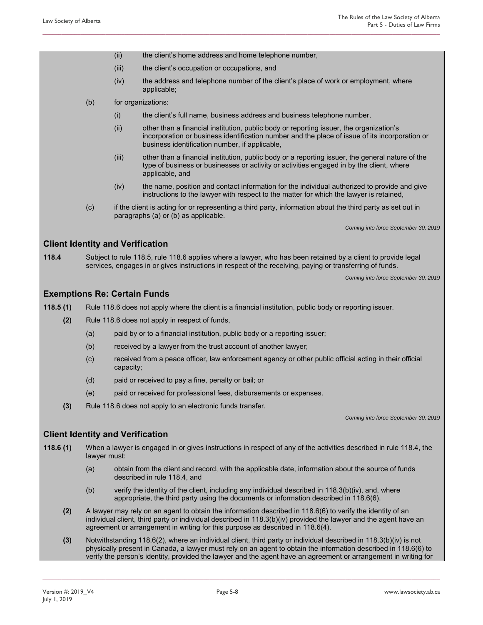- (ii) the client's home address and home telephone number,
- (iii) the client's occupation or occupations, and
- (iv) the address and telephone number of the client's place of work or employment, where applicable;
- (b) for organizations:
	- (i) the client's full name, business address and business telephone number,

- (ii) other than a financial institution, public body or reporting issuer, the organization's incorporation or business identification number and the place of issue of its incorporation or business identification number, if applicable,
- (iii) other than a financial institution, public body or a reporting issuer, the general nature of the type of business or businesses or activity or activities engaged in by the client, where applicable, and
- (iv) the name, position and contact information for the individual authorized to provide and give instructions to the lawyer with respect to the matter for which the lawyer is retained,
- (c) if the client is acting for or representing a third party, information about the third party as set out in paragraphs (a) or (b) as applicable.

*Coming into force September 30, 2019* 

### **Client Identity and Verification**

**118.4** Subject to rule 118.5, rule 118.6 applies where a lawyer, who has been retained by a client to provide legal services, engages in or gives instructions in respect of the receiving, paying or transferring of funds.

*Coming into force September 30, 2019* 

#### **Exemptions Re: Certain Funds**

**118.5 (1)** Rule 118.6 does not apply where the client is a financial institution, public body or reporting issuer.

- **(2)** Rule 118.6 does not apply in respect of funds,
	- (a) paid by or to a financial institution, public body or a reporting issuer;
	- (b) received by a lawyer from the trust account of another lawyer;
	- (c) received from a peace officer, law enforcement agency or other public official acting in their official capacity;
	- (d) paid or received to pay a fine, penalty or bail; or
	- (e) paid or received for professional fees, disbursements or expenses.
- **(3)** Rule 118.6 does not apply to an electronic funds transfer.

*Coming into force September 30, 2019* 

#### **Client Identity and Verification**

- **118.6 (1)** When a lawyer is engaged in or gives instructions in respect of any of the activities described in rule 118.4, the lawyer must:
	- (a) obtain from the client and record, with the applicable date, information about the source of funds described in rule 118.4, and
	- (b) verify the identity of the client, including any individual described in  $118.3(b)(iv)$ , and, where appropriate, the third party using the documents or information described in 118.6(6).
	- **(2)** A lawyer may rely on an agent to obtain the information described in 118.6(6) to verify the identity of an individual client, third party or individual described in 118.3(b)(iv) provided the lawyer and the agent have an agreement or arrangement in writing for this purpose as described in 118.6(4).
	- **(3)** Notwithstanding 118.6(2), where an individual client, third party or individual described in 118.3(b)(iv) is not physically present in Canada, a lawyer must rely on an agent to obtain the information described in 118.6(6) to verify the person's identity, provided the lawyer and the agent have an agreement or arrangement in writing for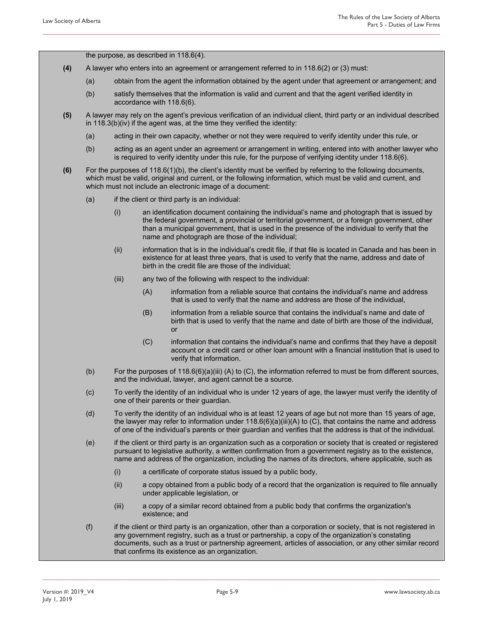the purpose, as described in 118.6(4).

- **(4)** A lawyer who enters into an agreement or arrangement referred to in 118.6(2) or (3) must:
	- (a) obtain from the agent the information obtained by the agent under that agreement or arrangement; and
	- (b) satisfy themselves that the information is valid and current and that the agent verified identity in accordance with 118.6(6).

**\_\_\_\_\_\_\_\_\_\_\_\_\_\_\_\_\_\_\_\_\_\_\_\_\_\_\_\_\_\_\_\_\_\_\_\_\_\_\_\_\_\_\_\_\_\_\_\_\_\_\_\_\_\_\_\_\_\_\_\_\_\_\_\_\_\_\_\_\_\_\_\_\_\_\_\_\_\_\_\_\_\_\_\_\_\_\_\_\_\_\_\_\_\_\_\_\_\_\_\_\_\_\_\_\_\_\_\_\_\_\_\_\_\_\_\_\_\_\_\_\_\_\_\_\_\_** 

- **(5)** A lawyer may rely on the agent's previous verification of an individual client, third party or an individual described in 118.3(b)(iv) if the agent was, at the time they verified the identity:
	- (a) acting in their own capacity, whether or not they were required to verify identity under this rule, or
	- (b) acting as an agent under an agreement or arrangement in writing, entered into with another lawyer who is required to verify identity under this rule, for the purpose of verifying identity under 118.6(6).
- **(6)** For the purposes of 118.6(1)(b), the client's identity must be verified by referring to the following documents, which must be valid, original and current, or the following information, which must be valid and current, and which must not include an electronic image of a document:
	- (a) if the client or third party is an individual:
		- (i) an identification document containing the individual's name and photograph that is issued by the federal government, a provincial or territorial government, or a foreign government, other than a municipal government, that is used in the presence of the individual to verify that the name and photograph are those of the individual;
		- (ii) information that is in the individual's credit file, if that file is located in Canada and has been in existence for at least three years, that is used to verify that the name, address and date of birth in the credit file are those of the individual;
		- (iii) any two of the following with respect to the individual:
			- (A) information from a reliable source that contains the individual's name and address that is used to verify that the name and address are those of the individual,
			- (B) information from a reliable source that contains the individual's name and date of birth that is used to verify that the name and date of birth are those of the individual, or
			- (C) information that contains the individual's name and confirms that they have a deposit account or a credit card or other loan amount with a financial institution that is used to verify that information.
	- (b) For the purposes of 118.6(6)(a)(iii) (A) to (C), the information referred to must be from different sources, and the individual, lawyer, and agent cannot be a source.
	- (c) To verify the identity of an individual who is under 12 years of age, the lawyer must verify the identity of one of their parents or their guardian.
	- (d) To verify the identity of an individual who is at least 12 years of age but not more than 15 years of age, the lawyer may refer to information under  $118.6(6)(a)(iii)(A)$  to (C), that contains the name and address of one of the individual's parents or their guardian and verifies that the address is that of the individual.
	- (e) if the client or third party is an organization such as a corporation or society that is created or registered pursuant to legislative authority, a written confirmation from a government registry as to the existence, name and address of the organization, including the names of its directors, where applicable, such as
		- (i) a certificate of corporate status issued by a public body,
		- (ii) a copy obtained from a public body of a record that the organization is required to file annually under applicable legislation, or
		- (iii) a copy of a similar record obtained from a public body that confirms the organization's existence; and
	- (f) if the client or third party is an organization, other than a corporation or society, that is not registered in any government registry, such as a trust or partnership, a copy of the organization's constating documents, such as a trust or partnership agreement, articles of association, or any other similar record that confirms its existence as an organization.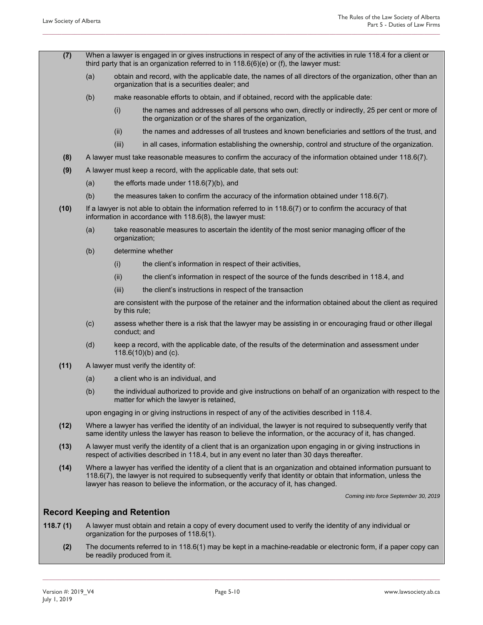**(7)** When a lawyer is engaged in or gives instructions in respect of any of the activities in rule 118.4 for a client or third party that is an organization referred to in 118.6(6)(e) or (f), the lawyer must:

**\_\_\_\_\_\_\_\_\_\_\_\_\_\_\_\_\_\_\_\_\_\_\_\_\_\_\_\_\_\_\_\_\_\_\_\_\_\_\_\_\_\_\_\_\_\_\_\_\_\_\_\_\_\_\_\_\_\_\_\_\_\_\_\_\_\_\_\_\_\_\_\_\_\_\_\_\_\_\_\_\_\_\_\_\_\_\_\_\_\_\_\_\_\_\_\_\_\_\_\_\_\_\_\_\_\_\_\_\_\_\_\_\_\_\_\_\_\_\_\_\_\_\_\_\_\_** 

- (a) obtain and record, with the applicable date, the names of all directors of the organization, other than an organization that is a securities dealer; and
- (b) make reasonable efforts to obtain, and if obtained, record with the applicable date:
	- (i) the names and addresses of all persons who own, directly or indirectly, 25 per cent or more of the organization or of the shares of the organization,
	- (ii) the names and addresses of all trustees and known beneficiaries and settlors of the trust, and
	- (iii) in all cases, information establishing the ownership, control and structure of the organization.
- **(8)** A lawyer must take reasonable measures to confirm the accuracy of the information obtained under 118.6(7).
- **(9)** A lawyer must keep a record, with the applicable date, that sets out:
	- (a) the efforts made under 118.6(7)(b), and
	- (b) the measures taken to confirm the accuracy of the information obtained under 118.6(7).
- **(10)** If a lawyer is not able to obtain the information referred to in 118.6(7) or to confirm the accuracy of that information in accordance with 118.6(8), the lawyer must:
	- (a) take reasonable measures to ascertain the identity of the most senior managing officer of the organization;
	- (b) determine whether
		- (i) the client's information in respect of their activities,
		- (ii) the client's information in respect of the source of the funds described in 118.4, and
		- (iii) the client's instructions in respect of the transaction

 are consistent with the purpose of the retainer and the information obtained about the client as required by this rule;

- (c) assess whether there is a risk that the lawyer may be assisting in or encouraging fraud or other illegal conduct; and
- (d) keep a record, with the applicable date, of the results of the determination and assessment under 118.6(10)(b) and (c).
- **(11)** A lawyer must verify the identity of:
	- (a) a client who is an individual, and
	- (b) the individual authorized to provide and give instructions on behalf of an organization with respect to the matter for which the lawyer is retained,

upon engaging in or giving instructions in respect of any of the activities described in 118.4.

- **(12)** Where a lawyer has verified the identity of an individual, the lawyer is not required to subsequently verify that same identity unless the lawyer has reason to believe the information, or the accuracy of it, has changed.
- **(13)** A lawyer must verify the identity of a client that is an organization upon engaging in or giving instructions in respect of activities described in 118.4, but in any event no later than 30 days thereafter.
- **(14)** Where a lawyer has verified the identity of a client that is an organization and obtained information pursuant to 118.6(7), the lawyer is not required to subsequently verify that identity or obtain that information, unless the lawyer has reason to believe the information, or the accuracy of it, has changed.

*Coming into force September 30, 2019* 

#### **Record Keeping and Retention**

- **118.7 (1)** A lawyer must obtain and retain a copy of every document used to verify the identity of any individual or organization for the purposes of 118.6(1).
	- **(2)** The documents referred to in 118.6(1) may be kept in a machine-readable or electronic form, if a paper copy can be readily produced from it.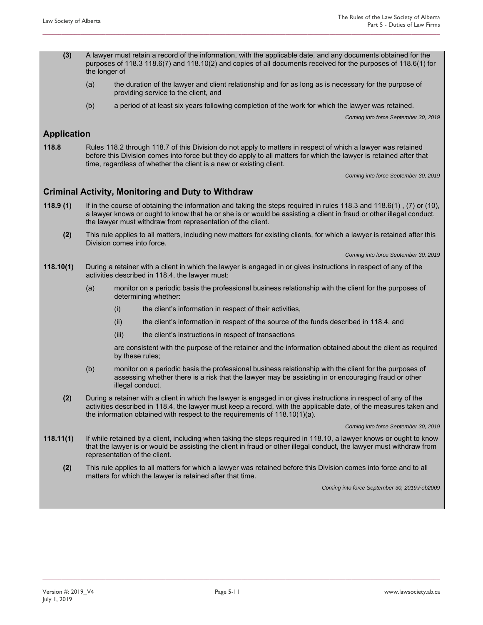**(3)** A lawyer must retain a record of the information, with the applicable date, and any documents obtained for the purposes of 118.3 118.6(7) and 118.10(2) and copies of all documents received for the purposes of 118.6(1) for the longer of

**\_\_\_\_\_\_\_\_\_\_\_\_\_\_\_\_\_\_\_\_\_\_\_\_\_\_\_\_\_\_\_\_\_\_\_\_\_\_\_\_\_\_\_\_\_\_\_\_\_\_\_\_\_\_\_\_\_\_\_\_\_\_\_\_\_\_\_\_\_\_\_\_\_\_\_\_\_\_\_\_\_\_\_\_\_\_\_\_\_\_\_\_\_\_\_\_\_\_\_\_\_\_\_\_\_\_\_\_\_\_\_\_\_\_\_\_\_\_\_\_\_\_\_\_\_\_** 

- (a) the duration of the lawyer and client relationship and for as long as is necessary for the purpose of providing service to the client, and
- (b) a period of at least six years following completion of the work for which the lawyer was retained.

*Coming into force September 30, 2019* 

#### **Application**

**118.8** Rules 118.2 through 118.7 of this Division do not apply to matters in respect of which a lawyer was retained before this Division comes into force but they do apply to all matters for which the lawyer is retained after that time, regardless of whether the client is a new or existing client.

*Coming into force September 30, 2019* 

#### **Criminal Activity, Monitoring and Duty to Withdraw**

- **118.9 (1)** If in the course of obtaining the information and taking the steps required in rules 118.3 and 118.6(1) , (7) or (10), a lawyer knows or ought to know that he or she is or would be assisting a client in fraud or other illegal conduct, the lawyer must withdraw from representation of the client.
	- **(2)** This rule applies to all matters, including new matters for existing clients, for which a lawyer is retained after this Division comes into force.

*Coming into force September 30, 2019* 

- **118.10(1)** During a retainer with a client in which the lawyer is engaged in or gives instructions in respect of any of the activities described in 118.4, the lawyer must:
	- (a) monitor on a periodic basis the professional business relationship with the client for the purposes of determining whether:
		- (i) the client's information in respect of their activities,
		- (ii) the client's information in respect of the source of the funds described in 118.4, and
		- (iii) the client's instructions in respect of transactions

are consistent with the purpose of the retainer and the information obtained about the client as required by these rules;

- (b) monitor on a periodic basis the professional business relationship with the client for the purposes of assessing whether there is a risk that the lawyer may be assisting in or encouraging fraud or other illegal conduct.
- **(2)** During a retainer with a client in which the lawyer is engaged in or gives instructions in respect of any of the activities described in 118.4, the lawyer must keep a record, with the applicable date, of the measures taken and the information obtained with respect to the requirements of 118.10(1)(a).

*Coming into force September 30, 2019* 

- **118.11(1)** If while retained by a client, including when taking the steps required in 118.10, a lawyer knows or ought to know that the lawyer is or would be assisting the client in fraud or other illegal conduct, the lawyer must withdraw from representation of the client.
	- **(2)** This rule applies to all matters for which a lawyer was retained before this Division comes into force and to all matters for which the lawyer is retained after that time.

*Coming into force September 30, 2019;Feb2009*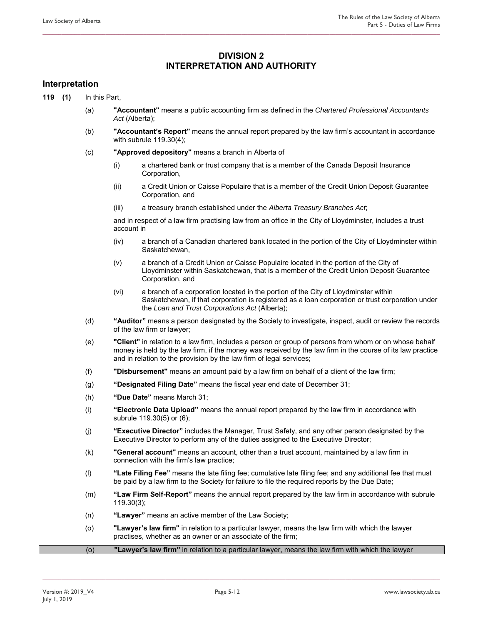### **DIVISION 2 INTERPRETATION AND AUTHORITY**

**\_\_\_\_\_\_\_\_\_\_\_\_\_\_\_\_\_\_\_\_\_\_\_\_\_\_\_\_\_\_\_\_\_\_\_\_\_\_\_\_\_\_\_\_\_\_\_\_\_\_\_\_\_\_\_\_\_\_\_\_\_\_\_\_\_\_\_\_\_\_\_\_\_\_\_\_\_\_\_\_\_\_\_\_\_\_\_\_\_\_\_\_\_\_\_\_\_\_\_\_\_\_\_\_\_\_\_\_\_\_\_\_\_\_\_\_\_\_\_\_\_\_\_\_\_\_** 

#### **Interpretation**

**119 (1)** In this Part,

- (a) **"Accountant"** means a public accounting firm as defined in the *Chartered Professional Accountants Act* (Alberta);
- (b) **"Accountant's Report"** means the annual report prepared by the law firm's accountant in accordance with subrule 119.30(4);
- (c) **"Approved depository"** means a branch in Alberta of
	- (i) a chartered bank or trust company that is a member of the Canada Deposit Insurance Corporation,
	- (ii) a Credit Union or Caisse Populaire that is a member of the Credit Union Deposit Guarantee Corporation, and
	- (iii) a treasury branch established under the *Alberta Treasury Branches Act*;

and in respect of a law firm practising law from an office in the City of Lloydminster, includes a trust account in

- (iv) a branch of a Canadian chartered bank located in the portion of the City of Lloydminster within Saskatchewan,
- (v) a branch of a Credit Union or Caisse Populaire located in the portion of the City of Lloydminster within Saskatchewan, that is a member of the Credit Union Deposit Guarantee Corporation, and
- (vi) a branch of a corporation located in the portion of the City of Lloydminster within Saskatchewan, if that corporation is registered as a loan corporation or trust corporation under the *Loan and Trust Corporations Act* (Alberta);
- (d) **"Auditor"** means a person designated by the Society to investigate, inspect, audit or review the records of the law firm or lawyer;
- (e) **"Client"** in relation to a law firm, includes a person or group of persons from whom or on whose behalf money is held by the law firm, if the money was received by the law firm in the course of its law practice and in relation to the provision by the law firm of legal services;
- (f) **"Disbursement"** means an amount paid by a law firm on behalf of a client of the law firm;
- (g) **"Designated Filing Date"** means the fiscal year end date of December 31;
- (h) **"Due Date"** means March 31;
- (i) **"Electronic Data Upload"** means the annual report prepared by the law firm in accordance with subrule 119.30(5) or (6);
- (j) **"Executive Director"** includes the Manager, Trust Safety, and any other person designated by the Executive Director to perform any of the duties assigned to the Executive Director;
- (k) **"General account"** means an account, other than a trust account, maintained by a law firm in connection with the firm's law practice;
- (l) **"Late Filing Fee"** means the late filing fee; cumulative late filing fee; and any additional fee that must be paid by a law firm to the Society for failure to file the required reports by the Due Date;
- (m) **"Law Firm Self-Report"** means the annual report prepared by the law firm in accordance with subrule 119.30(3);
- (n) **"Lawyer"** means an active member of the Law Society;
- (o) **"Lawyer's law firm"** in relation to a particular lawyer, means the law firm with which the lawyer practises, whether as an owner or an associate of the firm;
- (o) **"Lawyer's law firm"** in relation to a particular lawyer, means the law firm with which the lawyer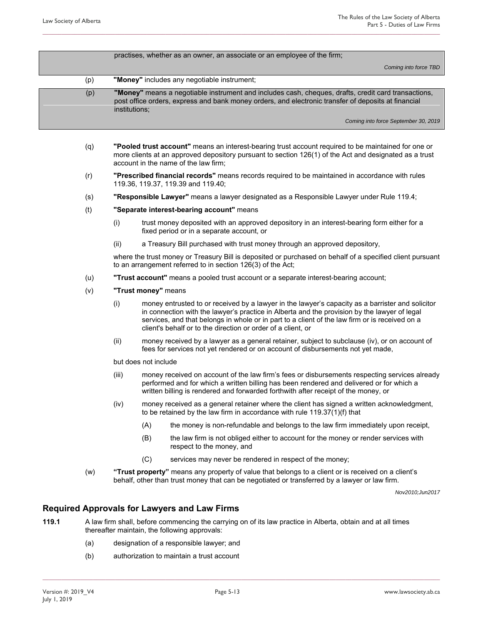|     | practises, whether as an owner, an associate or an employee of the firm;                                                                                                                                                    |
|-----|-----------------------------------------------------------------------------------------------------------------------------------------------------------------------------------------------------------------------------|
|     | Coming into force TBD                                                                                                                                                                                                       |
| (p) | "Money" includes any negotiable instrument;                                                                                                                                                                                 |
| (p) | "Money" means a negotiable instrument and includes cash, cheques, drafts, credit card transactions,<br>post office orders, express and bank money orders, and electronic transfer of deposits at financial<br>institutions; |
|     | Coming into force September 30, 2019                                                                                                                                                                                        |

- (q) **"Pooled trust account"** means an interest-bearing trust account required to be maintained for one or more clients at an approved depository pursuant to section 126(1) of the Act and designated as a trust account in the name of the law firm;
- (r) **"Prescribed financial records"** means records required to be maintained in accordance with rules 119.36, 119.37, 119.39 and 119.40;
- (s) **"Responsible Lawyer"** means a lawyer designated as a Responsible Lawyer under Rule 119.4;
- (t) **"Separate interest-bearing account"** means
	- (i) trust money deposited with an approved depository in an interest-bearing form either for a fixed period or in a separate account, or
	- (ii) a Treasury Bill purchased with trust money through an approved depository,

where the trust money or Treasury Bill is deposited or purchased on behalf of a specified client pursuant to an arrangement referred to in section 126(3) of the Act;

- (u) **"Trust account"** means a pooled trust account or a separate interest-bearing account;
- (v) **"Trust money"** means
	- (i) money entrusted to or received by a lawyer in the lawyer's capacity as a barrister and solicitor in connection with the lawyer's practice in Alberta and the provision by the lawyer of legal services, and that belongs in whole or in part to a client of the law firm or is received on a client's behalf or to the direction or order of a client, or
	- (ii) money received by a lawyer as a general retainer, subject to subclause (iv), or on account of fees for services not yet rendered or on account of disbursements not yet made,

but does not include

- (iii) money received on account of the law firm's fees or disbursements respecting services already performed and for which a written billing has been rendered and delivered or for which a written billing is rendered and forwarded forthwith after receipt of the money, or
- (iv) money received as a general retainer where the client has signed a written acknowledgment, to be retained by the law firm in accordance with rule 119.37(1)(f) that
	- (A) the money is non-refundable and belongs to the law firm immediately upon receipt,
	- (B) the law firm is not obliged either to account for the money or render services with respect to the money, and
	- (C) services may never be rendered in respect of the money;
- (w) **"Trust property"** means any property of value that belongs to a client or is received on a client's behalf, other than trust money that can be negotiated or transferred by a lawyer or law firm.

*Nov2010;Jun2017* 

#### **Required Approvals for Lawyers and Law Firms**

- **119.1** A law firm shall, before commencing the carrying on of its law practice in Alberta, obtain and at all times thereafter maintain, the following approvals:
	- (a) designation of a responsible lawyer; and
	- (b) authorization to maintain a trust account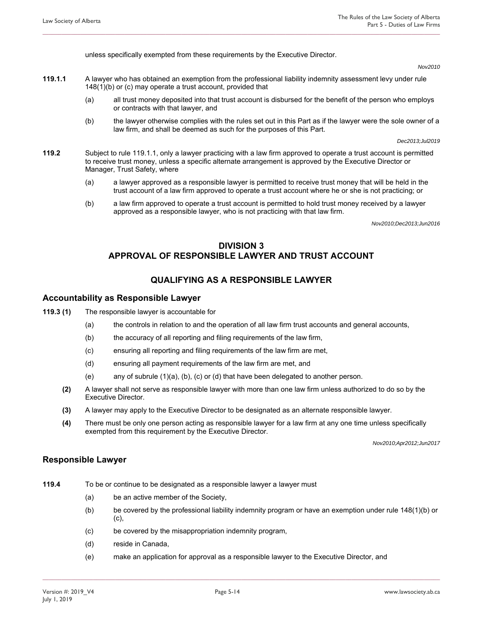unless specifically exempted from these requirements by the Executive Director.

#### *Nov2010*

**119.1.1** A lawyer who has obtained an exemption from the professional liability indemnity assessment levy under rule 148(1)(b) or (c) may operate a trust account, provided that

**\_\_\_\_\_\_\_\_\_\_\_\_\_\_\_\_\_\_\_\_\_\_\_\_\_\_\_\_\_\_\_\_\_\_\_\_\_\_\_\_\_\_\_\_\_\_\_\_\_\_\_\_\_\_\_\_\_\_\_\_\_\_\_\_\_\_\_\_\_\_\_\_\_\_\_\_\_\_\_\_\_\_\_\_\_\_\_\_\_\_\_\_\_\_\_\_\_\_\_\_\_\_\_\_\_\_\_\_\_\_\_\_\_\_\_\_\_\_\_\_\_\_\_\_\_\_** 

- (a) all trust money deposited into that trust account is disbursed for the benefit of the person who employs or contracts with that lawyer, and
- (b) the lawyer otherwise complies with the rules set out in this Part as if the lawyer were the sole owner of a law firm, and shall be deemed as such for the purposes of this Part.

*Dec2013;Jul2019* 

- **119.2** Subject to rule 119.1.1, only a lawyer practicing with a law firm approved to operate a trust account is permitted to receive trust money, unless a specific alternate arrangement is approved by the Executive Director or Manager, Trust Safety, where
	- (a) a lawyer approved as a responsible lawyer is permitted to receive trust money that will be held in the trust account of a law firm approved to operate a trust account where he or she is not practicing; or
	- (b) a law firm approved to operate a trust account is permitted to hold trust money received by a lawyer approved as a responsible lawyer, who is not practicing with that law firm.

*Nov2010;Dec2013;Jun2016* 

### **DIVISION 3 APPROVAL OF RESPONSIBLE LAWYER AND TRUST ACCOUNT**

### **QUALIFYING AS A RESPONSIBLE LAWYER**

#### **Accountability as Responsible Lawyer**

- **119.3 (1)** The responsible lawyer is accountable for
	- (a) the controls in relation to and the operation of all law firm trust accounts and general accounts,
	- (b) the accuracy of all reporting and filing requirements of the law firm,
	- (c) ensuring all reporting and filing requirements of the law firm are met,
	- (d) ensuring all payment requirements of the law firm are met, and
	- (e) any of subrule (1)(a), (b), (c) or (d) that have been delegated to another person.
	- **(2)** A lawyer shall not serve as responsible lawyer with more than one law firm unless authorized to do so by the Executive Director.
	- **(3)** A lawyer may apply to the Executive Director to be designated as an alternate responsible lawyer.
	- **(4)** There must be only one person acting as responsible lawyer for a law firm at any one time unless specifically exempted from this requirement by the Executive Director.

*Nov2010;Apr2012;Jun2017* 

#### **Responsible Lawyer**

- **119.4** To be or continue to be designated as a responsible lawyer a lawyer must
	- (a) be an active member of the Society,
	- (b) be covered by the professional liability indemnity program or have an exemption under rule 148(1)(b) or (c),
	- (c) be covered by the misappropriation indemnity program,
	- (d) reside in Canada,
	- (e) make an application for approval as a responsible lawyer to the Executive Director, and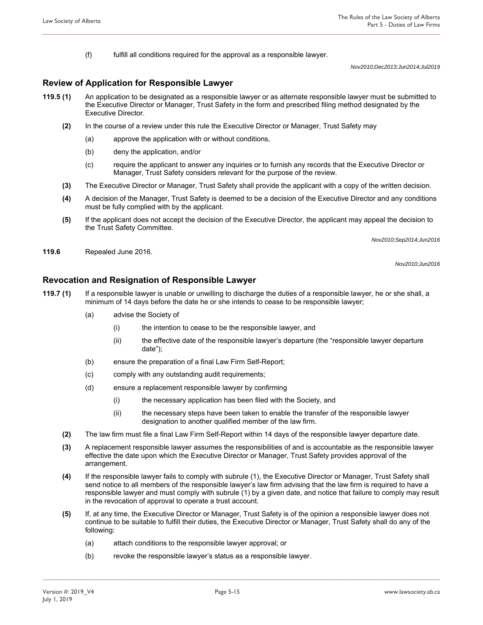(f) fulfill all conditions required for the approval as a responsible lawyer.

*Nov2010;Dec2013;Jun2014;Jul2019* 

#### **Review of Application for Responsible Lawyer**

**119.5 (1)** An application to be designated as a responsible lawyer or as alternate responsible lawyer must be submitted to the Executive Director or Manager, Trust Safety in the form and prescribed filing method designated by the Executive Director.

**\_\_\_\_\_\_\_\_\_\_\_\_\_\_\_\_\_\_\_\_\_\_\_\_\_\_\_\_\_\_\_\_\_\_\_\_\_\_\_\_\_\_\_\_\_\_\_\_\_\_\_\_\_\_\_\_\_\_\_\_\_\_\_\_\_\_\_\_\_\_\_\_\_\_\_\_\_\_\_\_\_\_\_\_\_\_\_\_\_\_\_\_\_\_\_\_\_\_\_\_\_\_\_\_\_\_\_\_\_\_\_\_\_\_\_\_\_\_\_\_\_\_\_\_\_\_** 

- **(2)** In the course of a review under this rule the Executive Director or Manager, Trust Safety may
	- (a) approve the application with or without conditions,
	- (b) deny the application, and/or
	- (c) require the applicant to answer any inquiries or to furnish any records that the Executive Director or Manager, Trust Safety considers relevant for the purpose of the review.
- **(3)** The Executive Director or Manager, Trust Safety shall provide the applicant with a copy of the written decision.
- **(4)** A decision of the Manager, Trust Safety is deemed to be a decision of the Executive Director and any conditions must be fully complied with by the applicant.
- **(5)** If the applicant does not accept the decision of the Executive Director, the applicant may appeal the decision to the Trust Safety Committee.

*Nov2010;Sep2014;Jun2016* 

**119.6** Repealed June 2016.

*Nov2010;Jun2016* 

#### **Revocation and Resignation of Responsible Lawyer**

- **119.7 (1)** If a responsible lawyer is unable or unwilling to discharge the duties of a responsible lawyer, he or she shall, a minimum of 14 days before the date he or she intends to cease to be responsible lawyer;
	- (a) advise the Society of
		- (i) the intention to cease to be the responsible lawyer, and
		- (ii) the effective date of the responsible lawyer's departure (the "responsible lawyer departure date");
	- (b) ensure the preparation of a final Law Firm Self-Report;
	- (c) comply with any outstanding audit requirements;
	- (d) ensure a replacement responsible lawyer by confirming
		- (i) the necessary application has been filed with the Society, and
		- (ii) the necessary steps have been taken to enable the transfer of the responsible lawyer designation to another qualified member of the law firm.
	- **(2)** The law firm must file a final Law Firm Self-Report within 14 days of the responsible lawyer departure date.
	- **(3)** A replacement responsible lawyer assumes the responsibilities of and is accountable as the responsible lawyer effective the date upon which the Executive Director or Manager, Trust Safety provides approval of the arrangement.
	- **(4)** If the responsible lawyer fails to comply with subrule (1), the Executive Director or Manager, Trust Safety shall send notice to all members of the responsible lawyer's law firm advising that the law firm is required to have a responsible lawyer and must comply with subrule (1) by a given date, and notice that failure to comply may result in the revocation of approval to operate a trust account.
	- **(5)** If, at any time, the Executive Director or Manager, Trust Safety is of the opinion a responsible lawyer does not continue to be suitable to fulfill their duties, the Executive Director or Manager, Trust Safety shall do any of the following:

- (a) attach conditions to the responsible lawyer approval; or
- (b) revoke the responsible lawyer's status as a responsible lawyer.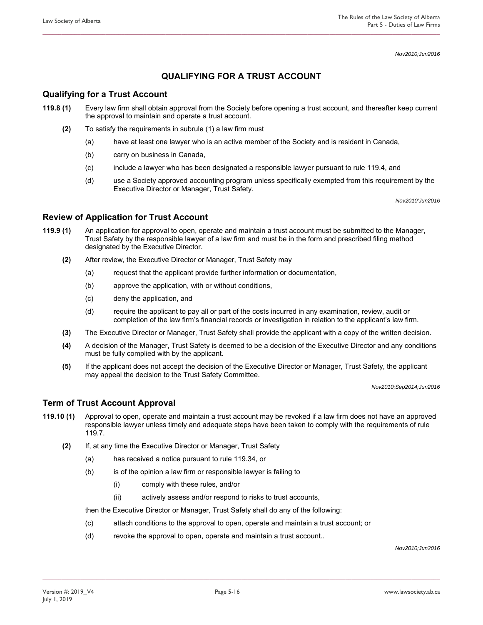*Nov2010;Jun2016* 

## **QUALIFYING FOR A TRUST ACCOUNT**

### **Qualifying for a Trust Account**

- **119.8 (1)** Every law firm shall obtain approval from the Society before opening a trust account, and thereafter keep current the approval to maintain and operate a trust account.
	- **(2)** To satisfy the requirements in subrule (1) a law firm must
		- (a) have at least one lawyer who is an active member of the Society and is resident in Canada,
		- (b) carry on business in Canada,
		- (c) include a lawyer who has been designated a responsible lawyer pursuant to rule 119.4, and
		- (d) use a Society approved accounting program unless specifically exempted from this requirement by the Executive Director or Manager, Trust Safety.

*Nov2010'Jun2016* 

### **Review of Application for Trust Account**

- **119.9 (1)** An application for approval to open, operate and maintain a trust account must be submitted to the Manager, Trust Safety by the responsible lawyer of a law firm and must be in the form and prescribed filing method designated by the Executive Director.
	- **(2)** After review, the Executive Director or Manager, Trust Safety may
		- (a) request that the applicant provide further information or documentation,
		- (b) approve the application, with or without conditions,
		- (c) deny the application, and
		- (d) require the applicant to pay all or part of the costs incurred in any examination, review, audit or completion of the law firm's financial records or investigation in relation to the applicant's law firm.
	- **(3)** The Executive Director or Manager, Trust Safety shall provide the applicant with a copy of the written decision.
	- **(4)** A decision of the Manager, Trust Safety is deemed to be a decision of the Executive Director and any conditions must be fully complied with by the applicant.
	- **(5)** If the applicant does not accept the decision of the Executive Director or Manager, Trust Safety, the applicant may appeal the decision to the Trust Safety Committee.

*Nov2010;Sep2014;Jun2016* 

### **Term of Trust Account Approval**

- **119.10 (1)** Approval to open, operate and maintain a trust account may be revoked if a law firm does not have an approved responsible lawyer unless timely and adequate steps have been taken to comply with the requirements of rule 119.7.
	- **(2)** If, at any time the Executive Director or Manager, Trust Safety
		- (a) has received a notice pursuant to rule 119.34, or
		- (b) is of the opinion a law firm or responsible lawyer is failing to
			- (i) comply with these rules, and/or
			- (ii) actively assess and/or respond to risks to trust accounts,

then the Executive Director or Manager, Trust Safety shall do any of the following:

- (c) attach conditions to the approval to open, operate and maintain a trust account; or
- (d) revoke the approval to open, operate and maintain a trust account..

*Nov2010;Jun2016*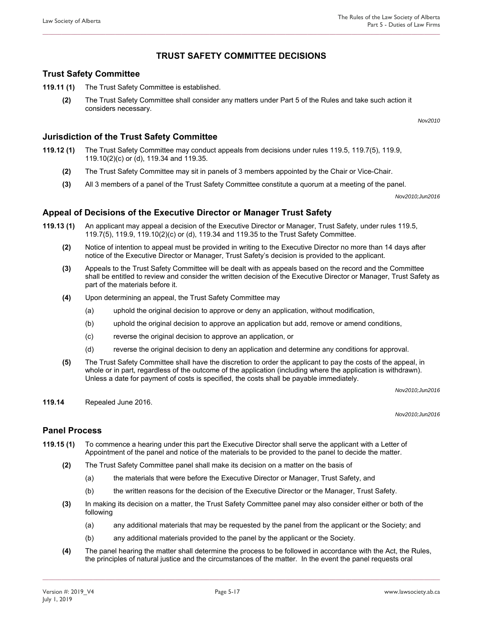### **TRUST SAFETY COMMITTEE DECISIONS**

**\_\_\_\_\_\_\_\_\_\_\_\_\_\_\_\_\_\_\_\_\_\_\_\_\_\_\_\_\_\_\_\_\_\_\_\_\_\_\_\_\_\_\_\_\_\_\_\_\_\_\_\_\_\_\_\_\_\_\_\_\_\_\_\_\_\_\_\_\_\_\_\_\_\_\_\_\_\_\_\_\_\_\_\_\_\_\_\_\_\_\_\_\_\_\_\_\_\_\_\_\_\_\_\_\_\_\_\_\_\_\_\_\_\_\_\_\_\_\_\_\_\_\_\_\_\_** 

### **Trust Safety Committee**

- **119.11 (1)** The Trust Safety Committee is established.
	- **(2)** The Trust Safety Committee shall consider any matters under Part 5 of the Rules and take such action it considers necessary.

*Nov2010* 

### **Jurisdiction of the Trust Safety Committee**

- **119.12 (1)** The Trust Safety Committee may conduct appeals from decisions under rules 119.5, 119.7(5), 119.9, 119.10(2)(c) or (d), 119.34 and 119.35.
	- **(2)** The Trust Safety Committee may sit in panels of 3 members appointed by the Chair or Vice-Chair.
	- **(3)** All 3 members of a panel of the Trust Safety Committee constitute a quorum at a meeting of the panel.

*Nov2010;Jun2016* 

### **Appeal of Decisions of the Executive Director or Manager Trust Safety**

- **119.13 (1)** An applicant may appeal a decision of the Executive Director or Manager, Trust Safety, under rules 119.5, 119.7(5), 119.9, 119.10(2)(c) or (d), 119.34 and 119.35 to the Trust Safety Committee.
	- **(2)** Notice of intention to appeal must be provided in writing to the Executive Director no more than 14 days after notice of the Executive Director or Manager, Trust Safety's decision is provided to the applicant.
	- **(3)** Appeals to the Trust Safety Committee will be dealt with as appeals based on the record and the Committee shall be entitled to review and consider the written decision of the Executive Director or Manager, Trust Safety as part of the materials before it.
	- **(4)** Upon determining an appeal, the Trust Safety Committee may
		- (a) uphold the original decision to approve or deny an application, without modification,
		- (b) uphold the original decision to approve an application but add, remove or amend conditions,
		- (c) reverse the original decision to approve an application, or
		- (d) reverse the original decision to deny an application and determine any conditions for approval.
	- **(5)** The Trust Safety Committee shall have the discretion to order the applicant to pay the costs of the appeal, in whole or in part, regardless of the outcome of the application (including where the application is withdrawn). Unless a date for payment of costs is specified, the costs shall be payable immediately.

*Nov2010;Jun2016* 

**119.14** Repealed June 2016.

*Nov2010;Jun2016* 

#### **Panel Process**

- **119.15 (1)** To commence a hearing under this part the Executive Director shall serve the applicant with a Letter of Appointment of the panel and notice of the materials to be provided to the panel to decide the matter.
	- **(2)** The Trust Safety Committee panel shall make its decision on a matter on the basis of
		- (a) the materials that were before the Executive Director or Manager, Trust Safety, and
		- (b) the written reasons for the decision of the Executive Director or the Manager, Trust Safety.
	- **(3)** In making its decision on a matter, the Trust Safety Committee panel may also consider either or both of the following
		- (a) any additional materials that may be requested by the panel from the applicant or the Society; and
		- (b) any additional materials provided to the panel by the applicant or the Society.
	- **(4)** The panel hearing the matter shall determine the process to be followed in accordance with the Act, the Rules, the principles of natural justice and the circumstances of the matter. In the event the panel requests oral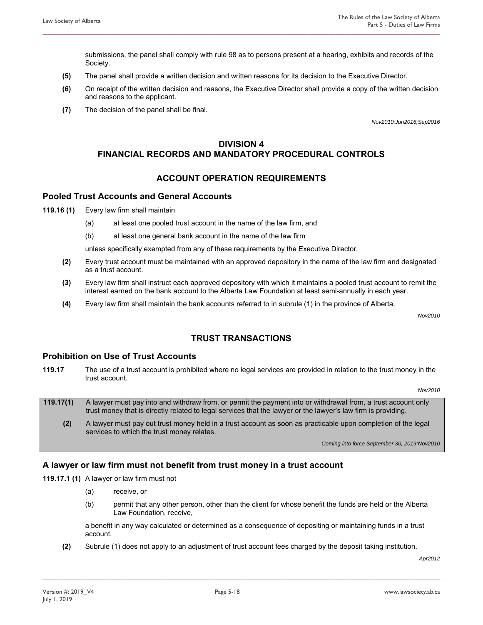submissions, the panel shall comply with rule 98 as to persons present at a hearing, exhibits and records of the Society.

**(5)** The panel shall provide a written decision and written reasons for its decision to the Executive Director.

**\_\_\_\_\_\_\_\_\_\_\_\_\_\_\_\_\_\_\_\_\_\_\_\_\_\_\_\_\_\_\_\_\_\_\_\_\_\_\_\_\_\_\_\_\_\_\_\_\_\_\_\_\_\_\_\_\_\_\_\_\_\_\_\_\_\_\_\_\_\_\_\_\_\_\_\_\_\_\_\_\_\_\_\_\_\_\_\_\_\_\_\_\_\_\_\_\_\_\_\_\_\_\_\_\_\_\_\_\_\_\_\_\_\_\_\_\_\_\_\_\_\_\_\_\_\_** 

- **(6)** On receipt of the written decision and reasons, the Executive Director shall provide a copy of the written decision and reasons to the applicant.
- **(7)** The decision of the panel shall be final.

*Nov2010;Jun2016;Sep2016* 

### **DIVISION 4 FINANCIAL RECORDS AND MANDATORY PROCEDURAL CONTROLS**

#### **ACCOUNT OPERATION REQUIREMENTS**

#### **Pooled Trust Accounts and General Accounts**

- **119.16 (1)** Every law firm shall maintain
	- (a) at least one pooled trust account in the name of the law firm, and
	- (b) at least one general bank account in the name of the law firm

unless specifically exempted from any of these requirements by the Executive Director.

- **(2)** Every trust account must be maintained with an approved depository in the name of the law firm and designated as a trust account.
- **(3)** Every law firm shall instruct each approved depository with which it maintains a pooled trust account to remit the interest earned on the bank account to the Alberta Law Foundation at least semi-annually in each year.
- **(4)** Every law firm shall maintain the bank accounts referred to in subrule (1) in the province of Alberta.

*Nov2010* 

### **TRUST TRANSACTIONS**

### **Prohibition on Use of Trust Accounts**

**119.17** The use of a trust account is prohibited where no legal services are provided in relation to the trust money in the trust account.

*Nov2010* 

- **119.17(1)** A lawyer must pay into and withdraw from, or permit the payment into or withdrawal from, a trust account only trust money that is directly related to legal services that the lawyer or the lawyer's law firm is providing.
	- **(2)** A lawyer must pay out trust money held in a trust account as soon as practicable upon completion of the legal services to which the trust money relates.

*Coming into force September 30, 2019;Nov2010*

#### **A lawyer or law firm must not benefit from trust money in a trust account**

**119.17.1 (1)** A lawyer or law firm must not

- (a) receive, or
- (b) permit that any other person, other than the client for whose benefit the funds are held or the Alberta Law Foundation, receive,

a benefit in any way calculated or determined as a consequence of depositing or maintaining funds in a trust account.

**(2)** Subrule (1) does not apply to an adjustment of trust account fees charged by the deposit taking institution.

**\_\_\_\_\_\_\_\_\_\_\_\_\_\_\_\_\_\_\_\_\_\_\_\_\_\_\_\_\_\_\_\_\_\_\_\_\_\_\_\_\_\_\_\_\_\_\_\_\_\_\_\_\_\_\_\_\_\_\_\_\_\_\_\_\_\_\_\_\_\_\_\_\_\_\_\_\_\_\_\_\_\_\_\_\_\_\_\_\_\_\_\_\_\_\_\_\_\_\_\_\_\_\_\_\_\_\_\_\_\_\_\_\_\_\_\_\_\_\_\_\_\_\_\_\_\_** 

*Apr2012*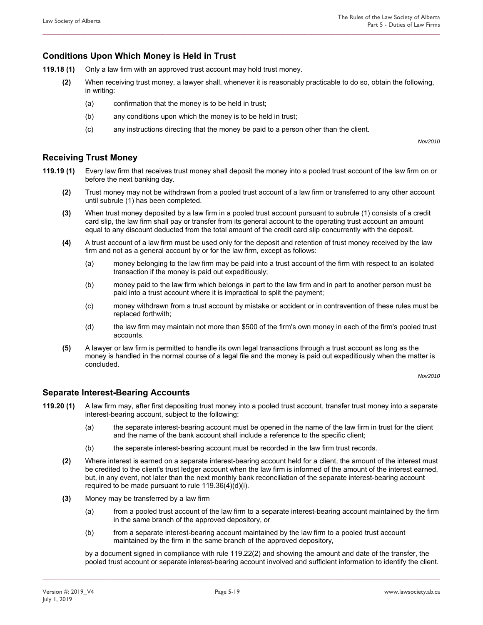### **Conditions Upon Which Money is Held in Trust**

- **119.18 (1)** Only a law firm with an approved trust account may hold trust money.
	- **(2)** When receiving trust money, a lawyer shall, whenever it is reasonably practicable to do so, obtain the following, in writing:

**\_\_\_\_\_\_\_\_\_\_\_\_\_\_\_\_\_\_\_\_\_\_\_\_\_\_\_\_\_\_\_\_\_\_\_\_\_\_\_\_\_\_\_\_\_\_\_\_\_\_\_\_\_\_\_\_\_\_\_\_\_\_\_\_\_\_\_\_\_\_\_\_\_\_\_\_\_\_\_\_\_\_\_\_\_\_\_\_\_\_\_\_\_\_\_\_\_\_\_\_\_\_\_\_\_\_\_\_\_\_\_\_\_\_\_\_\_\_\_\_\_\_\_\_\_\_** 

- (a) confirmation that the money is to be held in trust;
- (b) any conditions upon which the money is to be held in trust;
- (c) any instructions directing that the money be paid to a person other than the client.

*Nov2010* 

#### **Receiving Trust Money**

- **119.19 (1)** Every law firm that receives trust money shall deposit the money into a pooled trust account of the law firm on or before the next banking day.
	- **(2)** Trust money may not be withdrawn from a pooled trust account of a law firm or transferred to any other account until subrule (1) has been completed.
	- **(3)** When trust money deposited by a law firm in a pooled trust account pursuant to subrule (1) consists of a credit card slip, the law firm shall pay or transfer from its general account to the operating trust account an amount equal to any discount deducted from the total amount of the credit card slip concurrently with the deposit.
	- **(4)** A trust account of a law firm must be used only for the deposit and retention of trust money received by the law firm and not as a general account by or for the law firm, except as follows:
		- (a) money belonging to the law firm may be paid into a trust account of the firm with respect to an isolated transaction if the money is paid out expeditiously;
		- (b) money paid to the law firm which belongs in part to the law firm and in part to another person must be paid into a trust account where it is impractical to split the payment;
		- (c) money withdrawn from a trust account by mistake or accident or in contravention of these rules must be replaced forthwith;
		- (d) the law firm may maintain not more than \$500 of the firm's own money in each of the firm's pooled trust accounts.
	- **(5)** A lawyer or law firm is permitted to handle its own legal transactions through a trust account as long as the money is handled in the normal course of a legal file and the money is paid out expeditiously when the matter is concluded.

*Nov2010* 

### **Separate Interest-Bearing Accounts**

- **119.20 (1)** A law firm may, after first depositing trust money into a pooled trust account, transfer trust money into a separate interest-bearing account, subject to the following:
	- (a) the separate interest-bearing account must be opened in the name of the law firm in trust for the client and the name of the bank account shall include a reference to the specific client;
	- (b) the separate interest-bearing account must be recorded in the law firm trust records.
	- **(2)** Where interest is earned on a separate interest-bearing account held for a client, the amount of the interest must be credited to the client's trust ledger account when the law firm is informed of the amount of the interest earned, but, in any event, not later than the next monthly bank reconciliation of the separate interest-bearing account required to be made pursuant to rule 119.36(4)(d)(i).
	- **(3)** Money may be transferred by a law firm
		- (a) from a pooled trust account of the law firm to a separate interest-bearing account maintained by the firm in the same branch of the approved depository, or
		- (b) from a separate interest-bearing account maintained by the law firm to a pooled trust account maintained by the firm in the same branch of the approved depository,

**\_\_\_\_\_\_\_\_\_\_\_\_\_\_\_\_\_\_\_\_\_\_\_\_\_\_\_\_\_\_\_\_\_\_\_\_\_\_\_\_\_\_\_\_\_\_\_\_\_\_\_\_\_\_\_\_\_\_\_\_\_\_\_\_\_\_\_\_\_\_\_\_\_\_\_\_\_\_\_\_\_\_\_\_\_\_\_\_\_\_\_\_\_\_\_\_\_\_\_\_\_\_\_\_\_\_\_\_\_\_\_\_\_\_\_\_\_\_\_\_\_\_\_\_\_\_** 

by a document signed in compliance with rule 119.22(2) and showing the amount and date of the transfer, the pooled trust account or separate interest-bearing account involved and sufficient information to identify the client.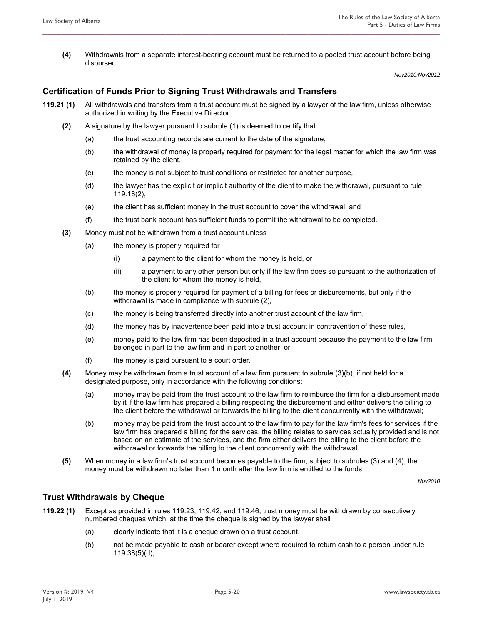**(4)** Withdrawals from a separate interest-bearing account must be returned to a pooled trust account before being disbursed.

**\_\_\_\_\_\_\_\_\_\_\_\_\_\_\_\_\_\_\_\_\_\_\_\_\_\_\_\_\_\_\_\_\_\_\_\_\_\_\_\_\_\_\_\_\_\_\_\_\_\_\_\_\_\_\_\_\_\_\_\_\_\_\_\_\_\_\_\_\_\_\_\_\_\_\_\_\_\_\_\_\_\_\_\_\_\_\_\_\_\_\_\_\_\_\_\_\_\_\_\_\_\_\_\_\_\_\_\_\_\_\_\_\_\_\_\_\_\_\_\_\_\_\_\_\_\_** 

*Nov2010;Nov2012* 

#### **Certification of Funds Prior to Signing Trust Withdrawals and Transfers**

- **119.21 (1)** All withdrawals and transfers from a trust account must be signed by a lawyer of the law firm, unless otherwise authorized in writing by the Executive Director.
	- **(2)** A signature by the lawyer pursuant to subrule (1) is deemed to certify that
		- (a) the trust accounting records are current to the date of the signature,
		- (b) the withdrawal of money is properly required for payment for the legal matter for which the law firm was retained by the client,
		- (c) the money is not subject to trust conditions or restricted for another purpose,
		- (d) the lawyer has the explicit or implicit authority of the client to make the withdrawal, pursuant to rule 119.18(2),
		- (e) the client has sufficient money in the trust account to cover the withdrawal, and
		- (f) the trust bank account has sufficient funds to permit the withdrawal to be completed.
	- **(3)** Money must not be withdrawn from a trust account unless
		- (a) the money is properly required for
			- (i) a payment to the client for whom the money is held, or
			- (ii) a payment to any other person but only if the law firm does so pursuant to the authorization of the client for whom the money is held,
		- (b) the money is properly required for payment of a billing for fees or disbursements, but only if the withdrawal is made in compliance with subrule (2),
		- (c) the money is being transferred directly into another trust account of the law firm,
		- (d) the money has by inadvertence been paid into a trust account in contravention of these rules,
		- (e) money paid to the law firm has been deposited in a trust account because the payment to the law firm belonged in part to the law firm and in part to another, or
		- (f) the money is paid pursuant to a court order.
	- **(4)** Money may be withdrawn from a trust account of a law firm pursuant to subrule (3)(b), if not held for a designated purpose, only in accordance with the following conditions:
		- (a) money may be paid from the trust account to the law firm to reimburse the firm for a disbursement made by it if the law firm has prepared a billing respecting the disbursement and either delivers the billing to the client before the withdrawal or forwards the billing to the client concurrently with the withdrawal;
		- (b) money may be paid from the trust account to the law firm to pay for the law firm's fees for services if the law firm has prepared a billing for the services, the billing relates to services actually provided and is not based on an estimate of the services, and the firm either delivers the billing to the client before the withdrawal or forwards the billing to the client concurrently with the withdrawal.
	- **(5)** When money in a law firm's trust account becomes payable to the firm, subject to subrules (3) and (4), the money must be withdrawn no later than 1 month after the law firm is entitled to the funds.

*Nov2010* 

#### **Trust Withdrawals by Cheque**

- **119.22 (1)** Except as provided in rules 119.23, 119.42, and 119.46, trust money must be withdrawn by consecutively numbered cheques which, at the time the cheque is signed by the lawyer shall
	- (a) clearly indicate that it is a cheque drawn on a trust account,
	- (b) not be made payable to cash or bearer except where required to return cash to a person under rule 119.38(5)(d),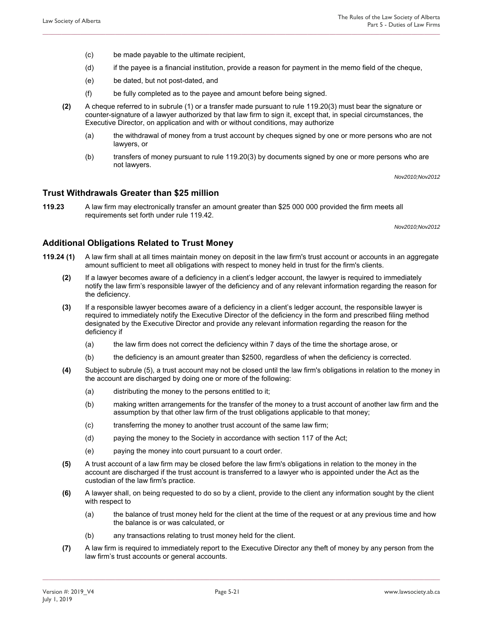- (c) be made payable to the ultimate recipient,
- (d) if the payee is a financial institution, provide a reason for payment in the memo field of the cheque,

- (e) be dated, but not post-dated, and
- (f) be fully completed as to the payee and amount before being signed.
- **(2)** A cheque referred to in subrule (1) or a transfer made pursuant to rule 119.20(3) must bear the signature or counter-signature of a lawyer authorized by that law firm to sign it, except that, in special circumstances, the Executive Director, on application and with or without conditions, may authorize
	- (a) the withdrawal of money from a trust account by cheques signed by one or more persons who are not lawyers, or
	- (b) transfers of money pursuant to rule 119.20(3) by documents signed by one or more persons who are not lawyers.

*Nov2010;Nov2012* 

### **Trust Withdrawals Greater than \$25 million**

**119.23** A law firm may electronically transfer an amount greater than \$25 000 000 provided the firm meets all requirements set forth under rule 119.42.

*Nov2010;Nov2012* 

### **Additional Obligations Related to Trust Money**

- **119.24 (1)** A law firm shall at all times maintain money on deposit in the law firm's trust account or accounts in an aggregate amount sufficient to meet all obligations with respect to money held in trust for the firm's clients.
	- **(2)** If a lawyer becomes aware of a deficiency in a client's ledger account, the lawyer is required to immediately notify the law firm's responsible lawyer of the deficiency and of any relevant information regarding the reason for the deficiency.
	- **(3)** If a responsible lawyer becomes aware of a deficiency in a client's ledger account, the responsible lawyer is required to immediately notify the Executive Director of the deficiency in the form and prescribed filing method designated by the Executive Director and provide any relevant information regarding the reason for the deficiency if
		- (a) the law firm does not correct the deficiency within 7 days of the time the shortage arose, or
		- (b) the deficiency is an amount greater than \$2500, regardless of when the deficiency is corrected.
	- **(4)** Subject to subrule (5), a trust account may not be closed until the law firm's obligations in relation to the money in the account are discharged by doing one or more of the following:
		- (a) distributing the money to the persons entitled to it;
		- (b) making written arrangements for the transfer of the money to a trust account of another law firm and the assumption by that other law firm of the trust obligations applicable to that money;
		- (c) transferring the money to another trust account of the same law firm;
		- (d) paying the money to the Society in accordance with section 117 of the Act;
		- (e) paying the money into court pursuant to a court order.
	- **(5)** A trust account of a law firm may be closed before the law firm's obligations in relation to the money in the account are discharged if the trust account is transferred to a lawyer who is appointed under the Act as the custodian of the law firm's practice.
	- **(6)** A lawyer shall, on being requested to do so by a client, provide to the client any information sought by the client with respect to
		- (a) the balance of trust money held for the client at the time of the request or at any previous time and how the balance is or was calculated, or
		- (b) any transactions relating to trust money held for the client.
	- **(7)** A law firm is required to immediately report to the Executive Director any theft of money by any person from the law firm's trust accounts or general accounts.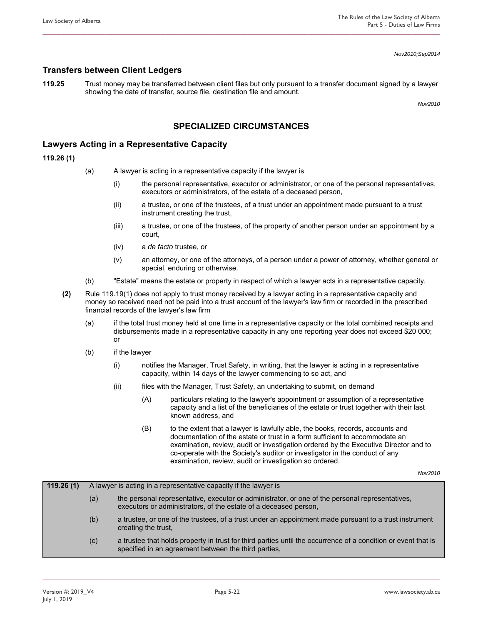*Nov2010;Sep2014* 

#### **Transfers between Client Ledgers**

**119.25** Trust money may be transferred between client files but only pursuant to a transfer document signed by a lawyer showing the date of transfer, source file, destination file and amount.

**\_\_\_\_\_\_\_\_\_\_\_\_\_\_\_\_\_\_\_\_\_\_\_\_\_\_\_\_\_\_\_\_\_\_\_\_\_\_\_\_\_\_\_\_\_\_\_\_\_\_\_\_\_\_\_\_\_\_\_\_\_\_\_\_\_\_\_\_\_\_\_\_\_\_\_\_\_\_\_\_\_\_\_\_\_\_\_\_\_\_\_\_\_\_\_\_\_\_\_\_\_\_\_\_\_\_\_\_\_\_\_\_\_\_\_\_\_\_\_\_\_\_\_\_\_\_** 

*Nov2010* 

### **SPECIALIZED CIRCUMSTANCES**

#### **Lawyers Acting in a Representative Capacity**

**119.26 (1)**

- (a) A lawyer is acting in a representative capacity if the lawyer is
	- (i) the personal representative, executor or administrator, or one of the personal representatives, executors or administrators, of the estate of a deceased person,
	- (ii) a trustee, or one of the trustees, of a trust under an appointment made pursuant to a trust instrument creating the trust,
	- (iii) a trustee, or one of the trustees, of the property of another person under an appointment by a court,
	- (iv) a *de facto* trustee, or
	- (v) an attorney, or one of the attorneys, of a person under a power of attorney, whether general or special, enduring or otherwise.
- (b) "Estate" means the estate or property in respect of which a lawyer acts in a representative capacity.
- **(2)** Rule 119.19(1) does not apply to trust money received by a lawyer acting in a representative capacity and money so received need not be paid into a trust account of the lawyer's law firm or recorded in the prescribed financial records of the lawyer's law firm
	- (a) if the total trust money held at one time in a representative capacity or the total combined receipts and disbursements made in a representative capacity in any one reporting year does not exceed \$20 000; or
	- (b) if the lawyer
		- (i) notifies the Manager, Trust Safety, in writing, that the lawyer is acting in a representative capacity, within 14 days of the lawyer commencing to so act, and
		- (ii) files with the Manager, Trust Safety, an undertaking to submit, on demand
			- (A) particulars relating to the lawyer's appointment or assumption of a representative capacity and a list of the beneficiaries of the estate or trust together with their last known address, and
			- (B) to the extent that a lawyer is lawfully able, the books, records, accounts and documentation of the estate or trust in a form sufficient to accommodate an examination, review, audit or investigation ordered by the Executive Director and to co-operate with the Society's auditor or investigator in the conduct of any examination, review, audit or investigation so ordered.

*Nov2010* 

| 119.26(1) | A lawyer is acting in a representative capacity if the lawyer is |                                                                                                                                                                       |  |  |
|-----------|------------------------------------------------------------------|-----------------------------------------------------------------------------------------------------------------------------------------------------------------------|--|--|
|           | (a)                                                              | the personal representative, executor or administrator, or one of the personal representatives,<br>executors or administrators, of the estate of a deceased person,   |  |  |
|           | (b)                                                              | a trustee, or one of the trustees, of a trust under an appointment made pursuant to a trust instrument<br>creating the trust,                                         |  |  |
|           | (c)                                                              | a trustee that holds property in trust for third parties until the occurrence of a condition or event that is<br>specified in an agreement between the third parties, |  |  |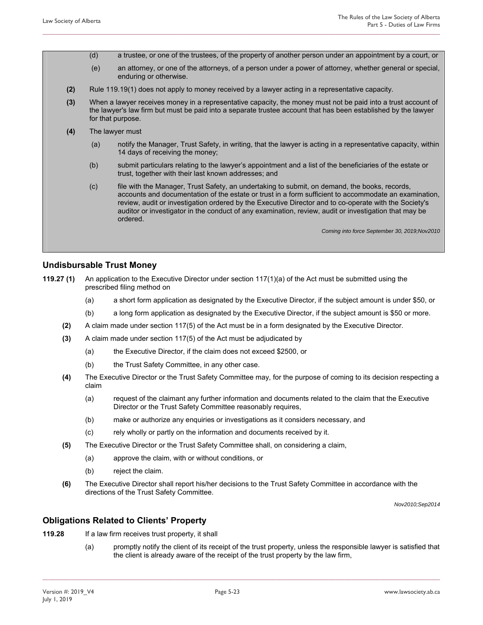- (d) a trustee, or one of the trustees, of the property of another person under an appointment by a court, or
- (e) an attorney, or one of the attorneys, of a person under a power of attorney, whether general or special, enduring or otherwise.
- **(2)** Rule 119.19(1) does not apply to money received by a lawyer acting in a representative capacity.

- **(3)** When a lawyer receives money in a representative capacity, the money must not be paid into a trust account of the lawyer's law firm but must be paid into a separate trustee account that has been established by the lawyer for that purpose.
- **(4)** The lawyer must
	- (a) notify the Manager, Trust Safety, in writing, that the lawyer is acting in a representative capacity, within 14 days of receiving the money;
	- (b) submit particulars relating to the lawyer's appointment and a list of the beneficiaries of the estate or trust, together with their last known addresses; and
	- (c) file with the Manager, Trust Safety, an undertaking to submit, on demand, the books, records, accounts and documentation of the estate or trust in a form sufficient to accommodate an examination, review, audit or investigation ordered by the Executive Director and to co-operate with the Society's auditor or investigator in the conduct of any examination, review, audit or investigation that may be ordered.

*Coming into force September 30, 2019;Nov2010* 

#### **Undisbursable Trust Money**

- **119.27 (1)** An application to the Executive Director under section 117(1)(a) of the Act must be submitted using the prescribed filing method on
	- (a) a short form application as designated by the Executive Director, if the subject amount is under \$50, or
	- (b) a long form application as designated by the Executive Director, if the subject amount is \$50 or more.
	- **(2)** A claim made under section 117(5) of the Act must be in a form designated by the Executive Director.
	- **(3)** A claim made under section 117(5) of the Act must be adjudicated by
		- (a) the Executive Director, if the claim does not exceed \$2500, or
		- (b) the Trust Safety Committee, in any other case.
	- **(4)** The Executive Director or the Trust Safety Committee may, for the purpose of coming to its decision respecting a claim
		- (a) request of the claimant any further information and documents related to the claim that the Executive Director or the Trust Safety Committee reasonably requires,
		- (b) make or authorize any enquiries or investigations as it considers necessary, and
		- (c) rely wholly or partly on the information and documents received by it.
	- **(5)** The Executive Director or the Trust Safety Committee shall, on considering a claim,
		- (a) approve the claim, with or without conditions, or
		- (b) reject the claim.
	- **(6)** The Executive Director shall report his/her decisions to the Trust Safety Committee in accordance with the directions of the Trust Safety Committee.

*Nov2010;Sep2014* 

#### **Obligations Related to Clients' Property**

- **119.28** If a law firm receives trust property, it shall
	- (a) promptly notify the client of its receipt of the trust property, unless the responsible lawyer is satisfied that the client is already aware of the receipt of the trust property by the law firm,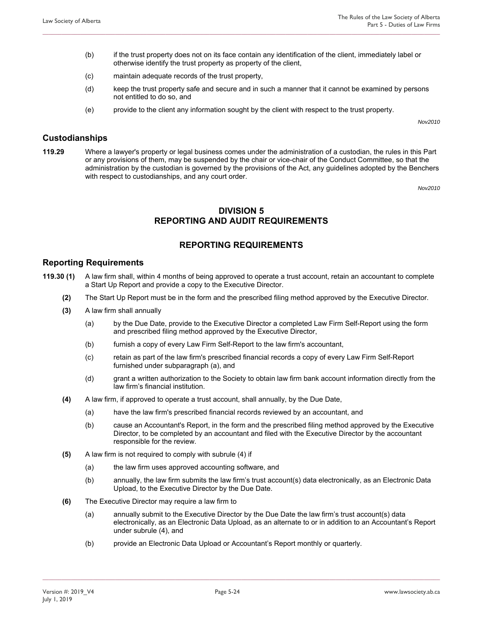(b) if the trust property does not on its face contain any identification of the client, immediately label or otherwise identify the trust property as property of the client,

**\_\_\_\_\_\_\_\_\_\_\_\_\_\_\_\_\_\_\_\_\_\_\_\_\_\_\_\_\_\_\_\_\_\_\_\_\_\_\_\_\_\_\_\_\_\_\_\_\_\_\_\_\_\_\_\_\_\_\_\_\_\_\_\_\_\_\_\_\_\_\_\_\_\_\_\_\_\_\_\_\_\_\_\_\_\_\_\_\_\_\_\_\_\_\_\_\_\_\_\_\_\_\_\_\_\_\_\_\_\_\_\_\_\_\_\_\_\_\_\_\_\_\_\_\_\_** 

- (c) maintain adequate records of the trust property,
- (d) keep the trust property safe and secure and in such a manner that it cannot be examined by persons not entitled to do so, and
- (e) provide to the client any information sought by the client with respect to the trust property.

*Nov2010* 

#### **Custodianships**

**119.29** Where a lawyer's property or legal business comes under the administration of a custodian, the rules in this Part or any provisions of them, may be suspended by the chair or vice-chair of the Conduct Committee, so that the administration by the custodian is governed by the provisions of the Act, any guidelines adopted by the Benchers with respect to custodianships, and any court order.

*Nov2010* 

### **DIVISION 5 REPORTING AND AUDIT REQUIREMENTS**

### **REPORTING REQUIREMENTS**

#### **Reporting Requirements**

- **119.30 (1)** A law firm shall, within 4 months of being approved to operate a trust account, retain an accountant to complete a Start Up Report and provide a copy to the Executive Director.
	- **(2)** The Start Up Report must be in the form and the prescribed filing method approved by the Executive Director.
	- **(3)** A law firm shall annually
		- (a) by the Due Date, provide to the Executive Director a completed Law Firm Self-Report using the form and prescribed filing method approved by the Executive Director,
		- (b) furnish a copy of every Law Firm Self-Report to the law firm's accountant,
		- (c) retain as part of the law firm's prescribed financial records a copy of every Law Firm Self-Report furnished under subparagraph (a), and
		- (d) grant a written authorization to the Society to obtain law firm bank account information directly from the law firm's financial institution.
	- **(4)** A law firm, if approved to operate a trust account, shall annually, by the Due Date,
		- (a) have the law firm's prescribed financial records reviewed by an accountant, and
		- (b) cause an Accountant's Report, in the form and the prescribed filing method approved by the Executive Director, to be completed by an accountant and filed with the Executive Director by the accountant responsible for the review.
	- **(5)** A law firm is not required to comply with subrule (4) if
		- (a) the law firm uses approved accounting software, and
		- (b) annually, the law firm submits the law firm's trust account(s) data electronically, as an Electronic Data Upload, to the Executive Director by the Due Date.
	- **(6)** The Executive Director may require a law firm to
		- (a) annually submit to the Executive Director by the Due Date the law firm's trust account(s) data electronically, as an Electronic Data Upload, as an alternate to or in addition to an Accountant's Report under subrule (4), and
		- (b) provide an Electronic Data Upload or Accountant's Report monthly or quarterly.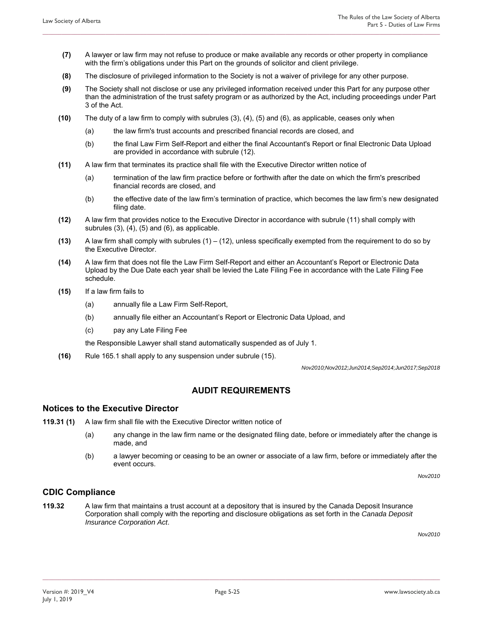**(7)** A lawyer or law firm may not refuse to produce or make available any records or other property in compliance with the firm's obligations under this Part on the grounds of solicitor and client privilege.

**\_\_\_\_\_\_\_\_\_\_\_\_\_\_\_\_\_\_\_\_\_\_\_\_\_\_\_\_\_\_\_\_\_\_\_\_\_\_\_\_\_\_\_\_\_\_\_\_\_\_\_\_\_\_\_\_\_\_\_\_\_\_\_\_\_\_\_\_\_\_\_\_\_\_\_\_\_\_\_\_\_\_\_\_\_\_\_\_\_\_\_\_\_\_\_\_\_\_\_\_\_\_\_\_\_\_\_\_\_\_\_\_\_\_\_\_\_\_\_\_\_\_\_\_\_\_** 

- **(8)** The disclosure of privileged information to the Society is not a waiver of privilege for any other purpose.
- **(9)** The Society shall not disclose or use any privileged information received under this Part for any purpose other than the administration of the trust safety program or as authorized by the Act, including proceedings under Part 3 of the Act.
- **(10)** The duty of a law firm to comply with subrules (3), (4), (5) and (6), as applicable, ceases only when
	- (a) the law firm's trust accounts and prescribed financial records are closed, and
	- (b) the final Law Firm Self-Report and either the final Accountant's Report or final Electronic Data Upload are provided in accordance with subrule (12).
- **(11)** A law firm that terminates its practice shall file with the Executive Director written notice of
	- (a) termination of the law firm practice before or forthwith after the date on which the firm's prescribed financial records are closed, and
	- (b) the effective date of the law firm's termination of practice, which becomes the law firm's new designated filing date.
- **(12)** A law firm that provides notice to the Executive Director in accordance with subrule (11) shall comply with subrules  $(3)$ ,  $(4)$ ,  $(5)$  and  $(6)$ , as applicable.
- **(13)** A law firm shall comply with subrules (1) (12), unless specifically exempted from the requirement to do so by the Executive Director.
- **(14)** A law firm that does not file the Law Firm Self-Report and either an Accountant's Report or Electronic Data Upload by the Due Date each year shall be levied the Late Filing Fee in accordance with the Late Filing Fee schedule.
- **(15)** If a law firm fails to
	- (a) annually file a Law Firm Self-Report,
	- (b) annually file either an Accountant's Report or Electronic Data Upload, and
	- (c) pay any Late Filing Fee

the Responsible Lawyer shall stand automatically suspended as of July 1.

**(16)** Rule 165.1 shall apply to any suspension under subrule (15).

*Nov2010;Nov2012;Jun2014;Sep2014;Jun2017;Sep2018* 

### **AUDIT REQUIREMENTS**

#### **Notices to the Executive Director**

- **119.31 (1)** A law firm shall file with the Executive Director written notice of
	- (a) any change in the law firm name or the designated filing date, before or immediately after the change is made, and
	- (b) a lawyer becoming or ceasing to be an owner or associate of a law firm, before or immediately after the event occurs.

*Nov2010* 

### **CDIC Compliance**

**119.32** A law firm that maintains a trust account at a depository that is insured by the Canada Deposit Insurance Corporation shall comply with the reporting and disclosure obligations as set forth in the *Canada Deposit Insurance Corporation Act*.

*Nov2010*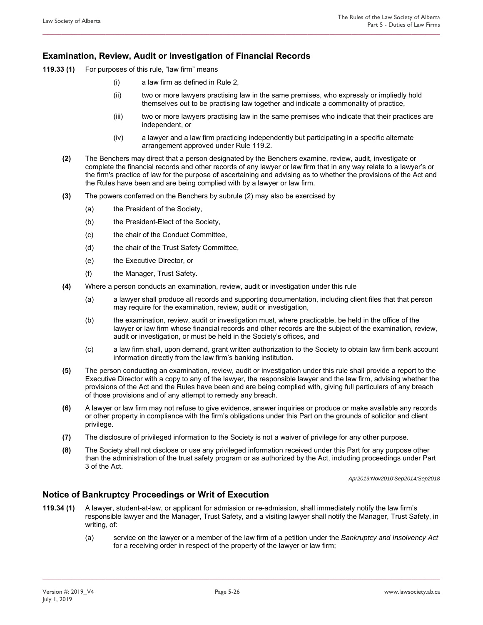### **Examination, Review, Audit or Investigation of Financial Records**

- **119.33 (1)** For purposes of this rule, "law firm" means
	- (i) a law firm as defined in Rule 2,
	- (ii) two or more lawyers practising law in the same premises, who expressly or impliedly hold themselves out to be practising law together and indicate a commonality of practice,
	- (iii) two or more lawyers practising law in the same premises who indicate that their practices are independent, or
	- (iv) a lawyer and a law firm practicing independently but participating in a specific alternate arrangement approved under Rule 119.2.
	- **(2)** The Benchers may direct that a person designated by the Benchers examine, review, audit, investigate or complete the financial records and other records of any lawyer or law firm that in any way relate to a lawyer's or the firm's practice of law for the purpose of ascertaining and advising as to whether the provisions of the Act and the Rules have been and are being complied with by a lawyer or law firm.

**\_\_\_\_\_\_\_\_\_\_\_\_\_\_\_\_\_\_\_\_\_\_\_\_\_\_\_\_\_\_\_\_\_\_\_\_\_\_\_\_\_\_\_\_\_\_\_\_\_\_\_\_\_\_\_\_\_\_\_\_\_\_\_\_\_\_\_\_\_\_\_\_\_\_\_\_\_\_\_\_\_\_\_\_\_\_\_\_\_\_\_\_\_\_\_\_\_\_\_\_\_\_\_\_\_\_\_\_\_\_\_\_\_\_\_\_\_\_\_\_\_\_\_\_\_\_** 

- **(3)** The powers conferred on the Benchers by subrule (2) may also be exercised by
	- (a) the President of the Society,
	- (b) the President-Elect of the Society,
	- (c) the chair of the Conduct Committee,
	- (d) the chair of the Trust Safety Committee,
	- (e) the Executive Director, or
	- (f) the Manager, Trust Safety.
- **(4)** Where a person conducts an examination, review, audit or investigation under this rule
	- (a) a lawyer shall produce all records and supporting documentation, including client files that that person may require for the examination, review, audit or investigation,
	- (b) the examination, review, audit or investigation must, where practicable, be held in the office of the lawyer or law firm whose financial records and other records are the subject of the examination, review, audit or investigation, or must be held in the Society's offices, and
	- (c) a law firm shall, upon demand, grant written authorization to the Society to obtain law firm bank account information directly from the law firm's banking institution.
- **(5)** The person conducting an examination, review, audit or investigation under this rule shall provide a report to the Executive Director with a copy to any of the lawyer, the responsible lawyer and the law firm, advising whether the provisions of the Act and the Rules have been and are being complied with, giving full particulars of any breach of those provisions and of any attempt to remedy any breach.
- **(6)** A lawyer or law firm may not refuse to give evidence, answer inquiries or produce or make available any records or other property in compliance with the firm's obligations under this Part on the grounds of solicitor and client privilege.
- **(7)** The disclosure of privileged information to the Society is not a waiver of privilege for any other purpose.
- **(8)** The Society shall not disclose or use any privileged information received under this Part for any purpose other than the administration of the trust safety program or as authorized by the Act, including proceedings under Part 3 of the Act.

*Apr2019;Nov2010'Sep2014;Sep2018* 

### **Notice of Bankruptcy Proceedings or Writ of Execution**

**119.34 (1)** A lawyer, student-at-law, or applicant for admission or re-admission, shall immediately notify the law firm's responsible lawyer and the Manager, Trust Safety, and a visiting lawyer shall notify the Manager, Trust Safety, in writing, of:

**\_\_\_\_\_\_\_\_\_\_\_\_\_\_\_\_\_\_\_\_\_\_\_\_\_\_\_\_\_\_\_\_\_\_\_\_\_\_\_\_\_\_\_\_\_\_\_\_\_\_\_\_\_\_\_\_\_\_\_\_\_\_\_\_\_\_\_\_\_\_\_\_\_\_\_\_\_\_\_\_\_\_\_\_\_\_\_\_\_\_\_\_\_\_\_\_\_\_\_\_\_\_\_\_\_\_\_\_\_\_\_\_\_\_\_\_\_\_\_\_\_\_\_\_\_\_** 

(a) service on the lawyer or a member of the law firm of a petition under the *Bankruptcy and Insolvency Act* for a receiving order in respect of the property of the lawyer or law firm;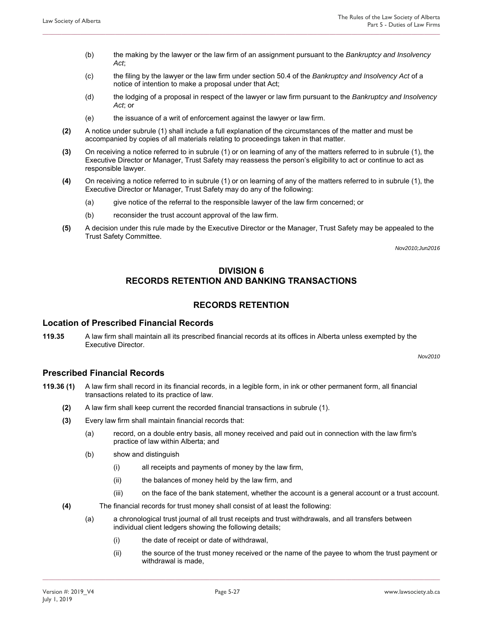- (b) the making by the lawyer or the law firm of an assignment pursuant to the *Bankruptcy and Insolvency Act*;
- (c) the filing by the lawyer or the law firm under section 50.4 of the *Bankruptcy and Insolvency Act* of a notice of intention to make a proposal under that Act;

- (d) the lodging of a proposal in respect of the lawyer or law firm pursuant to the *Bankruptcy and Insolvency Act*; or
- (e) the issuance of a writ of enforcement against the lawyer or law firm.
- **(2)** A notice under subrule (1) shall include a full explanation of the circumstances of the matter and must be accompanied by copies of all materials relating to proceedings taken in that matter.
- **(3)** On receiving a notice referred to in subrule (1) or on learning of any of the matters referred to in subrule (1), the Executive Director or Manager, Trust Safety may reassess the person's eligibility to act or continue to act as responsible lawyer.
- **(4)** On receiving a notice referred to in subrule (1) or on learning of any of the matters referred to in subrule (1), the Executive Director or Manager, Trust Safety may do any of the following:
	- (a) give notice of the referral to the responsible lawyer of the law firm concerned; or
	- (b) reconsider the trust account approval of the law firm.
- **(5)** A decision under this rule made by the Executive Director or the Manager, Trust Safety may be appealed to the Trust Safety Committee.

*Nov2010;Jun2016* 

### **DIVISION 6 RECORDS RETENTION AND BANKING TRANSACTIONS**

### **RECORDS RETENTION**

### **Location of Prescribed Financial Records**

**119.35** A law firm shall maintain all its prescribed financial records at its offices in Alberta unless exempted by the Executive Director.

*Nov2010* 

#### **Prescribed Financial Records**

- **119.36 (1)** A law firm shall record in its financial records, in a legible form, in ink or other permanent form, all financial transactions related to its practice of law.
	- **(2)** A law firm shall keep current the recorded financial transactions in subrule (1).
	- **(3)** Every law firm shall maintain financial records that:
		- (a) record, on a double entry basis, all money received and paid out in connection with the law firm's practice of law within Alberta; and
		- (b) show and distinguish
			- (i) all receipts and payments of money by the law firm,
			- (ii) the balances of money held by the law firm, and
			- (iii) on the face of the bank statement, whether the account is a general account or a trust account.
	- **(4)** The financial records for trust money shall consist of at least the following:
		- (a) a chronological trust journal of all trust receipts and trust withdrawals, and all transfers between individual client ledgers showing the following details;

- (i) the date of receipt or date of withdrawal,
- (ii) the source of the trust money received or the name of the payee to whom the trust payment or withdrawal is made,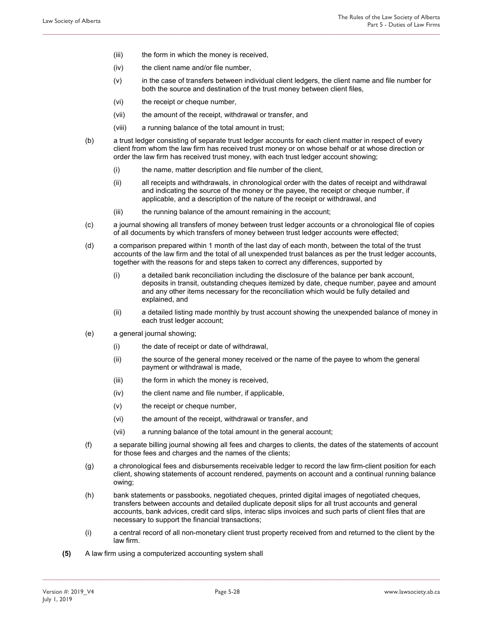- (iii) the form in which the money is received,
- (iv) the client name and/or file number,
- (v) in the case of transfers between individual client ledgers, the client name and file number for both the source and destination of the trust money between client files,
- (vi) the receipt or cheque number,
- (vii) the amount of the receipt, withdrawal or transfer, and
- (viii) a running balance of the total amount in trust;
- (b) a trust ledger consisting of separate trust ledger accounts for each client matter in respect of every client from whom the law firm has received trust money or on whose behalf or at whose direction or order the law firm has received trust money, with each trust ledger account showing;

- (i) the name, matter description and file number of the client,
- (ii) all receipts and withdrawals, in chronological order with the dates of receipt and withdrawal and indicating the source of the money or the payee, the receipt or cheque number, if applicable, and a description of the nature of the receipt or withdrawal, and
- (iii) the running balance of the amount remaining in the account;
- (c) a journal showing all transfers of money between trust ledger accounts or a chronological file of copies of all documents by which transfers of money between trust ledger accounts were effected;
- (d) a comparison prepared within 1 month of the last day of each month, between the total of the trust accounts of the law firm and the total of all unexpended trust balances as per the trust ledger accounts, together with the reasons for and steps taken to correct any differences, supported by
	- (i) a detailed bank reconciliation including the disclosure of the balance per bank account, deposits in transit, outstanding cheques itemized by date, cheque number, payee and amount and any other items necessary for the reconciliation which would be fully detailed and explained, and
	- (ii) a detailed listing made monthly by trust account showing the unexpended balance of money in each trust ledger account;
- (e) a general journal showing;
	- (i) the date of receipt or date of withdrawal,
	- (ii) the source of the general money received or the name of the payee to whom the general payment or withdrawal is made,
	- (iii) the form in which the money is received,
	- (iv) the client name and file number, if applicable,
	- (v) the receipt or cheque number,
	- (vi) the amount of the receipt, withdrawal or transfer, and
	- (vii) a running balance of the total amount in the general account;
- (f) a separate billing journal showing all fees and charges to clients, the dates of the statements of account for those fees and charges and the names of the clients;
- (g) a chronological fees and disbursements receivable ledger to record the law firm-client position for each client, showing statements of account rendered, payments on account and a continual running balance owing;
- (h) bank statements or passbooks, negotiated cheques, printed digital images of negotiated cheques, transfers between accounts and detailed duplicate deposit slips for all trust accounts and general accounts, bank advices, credit card slips, interac slips invoices and such parts of client files that are necessary to support the financial transactions;
- (i) a central record of all non-monetary client trust property received from and returned to the client by the law firm.
- **(5)** A law firm using a computerized accounting system shall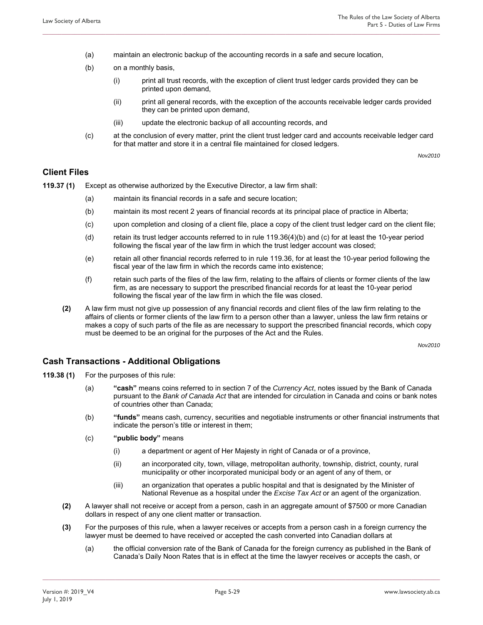(a) maintain an electronic backup of the accounting records in a safe and secure location,

**\_\_\_\_\_\_\_\_\_\_\_\_\_\_\_\_\_\_\_\_\_\_\_\_\_\_\_\_\_\_\_\_\_\_\_\_\_\_\_\_\_\_\_\_\_\_\_\_\_\_\_\_\_\_\_\_\_\_\_\_\_\_\_\_\_\_\_\_\_\_\_\_\_\_\_\_\_\_\_\_\_\_\_\_\_\_\_\_\_\_\_\_\_\_\_\_\_\_\_\_\_\_\_\_\_\_\_\_\_\_\_\_\_\_\_\_\_\_\_\_\_\_\_\_\_\_** 

- (b) on a monthly basis,
	- (i) print all trust records, with the exception of client trust ledger cards provided they can be printed upon demand,
	- (ii) print all general records, with the exception of the accounts receivable ledger cards provided they can be printed upon demand,
	- (iii) update the electronic backup of all accounting records, and
- (c) at the conclusion of every matter, print the client trust ledger card and accounts receivable ledger card for that matter and store it in a central file maintained for closed ledgers.

*Nov2010* 

### **Client Files**

- **119.37 (1)** Except as otherwise authorized by the Executive Director, a law firm shall:
	- (a) maintain its financial records in a safe and secure location;
	- (b) maintain its most recent 2 years of financial records at its principal place of practice in Alberta;
	- (c) upon completion and closing of a client file, place a copy of the client trust ledger card on the client file;
	- (d) retain its trust ledger accounts referred to in rule 119.36(4)(b) and (c) for at least the 10-year period following the fiscal year of the law firm in which the trust ledger account was closed;
	- (e) retain all other financial records referred to in rule 119.36, for at least the 10-year period following the fiscal year of the law firm in which the records came into existence;
	- (f) retain such parts of the files of the law firm, relating to the affairs of clients or former clients of the law firm, as are necessary to support the prescribed financial records for at least the 10-year period following the fiscal year of the law firm in which the file was closed.
	- **(2)** A law firm must not give up possession of any financial records and client files of the law firm relating to the affairs of clients or former clients of the law firm to a person other than a lawyer, unless the law firm retains or makes a copy of such parts of the file as are necessary to support the prescribed financial records, which copy must be deemed to be an original for the purposes of the Act and the Rules.

*Nov2010* 

### **Cash Transactions - Additional Obligations**

- **119.38 (1)** For the purposes of this rule:
	- (a) **"cash"** means coins referred to in section 7 of the *Currency Act*, notes issued by the Bank of Canada pursuant to the *Bank of Canada Act* that are intended for circulation in Canada and coins or bank notes of countries other than Canada;
	- (b) **"funds"** means cash, currency, securities and negotiable instruments or other financial instruments that indicate the person's title or interest in them;
	- (c) **"public body"** means
		- (i) a department or agent of Her Majesty in right of Canada or of a province,
		- (ii) an incorporated city, town, village, metropolitan authority, township, district, county, rural municipality or other incorporated municipal body or an agent of any of them, or
		- (iii) an organization that operates a public hospital and that is designated by the Minister of National Revenue as a hospital under the *Excise Tax Act* or an agent of the organization.
	- **(2)** A lawyer shall not receive or accept from a person, cash in an aggregate amount of \$7500 or more Canadian dollars in respect of any one client matter or transaction.
	- **(3)** For the purposes of this rule, when a lawyer receives or accepts from a person cash in a foreign currency the lawyer must be deemed to have received or accepted the cash converted into Canadian dollars at

**\_\_\_\_\_\_\_\_\_\_\_\_\_\_\_\_\_\_\_\_\_\_\_\_\_\_\_\_\_\_\_\_\_\_\_\_\_\_\_\_\_\_\_\_\_\_\_\_\_\_\_\_\_\_\_\_\_\_\_\_\_\_\_\_\_\_\_\_\_\_\_\_\_\_\_\_\_\_\_\_\_\_\_\_\_\_\_\_\_\_\_\_\_\_\_\_\_\_\_\_\_\_\_\_\_\_\_\_\_\_\_\_\_\_\_\_\_\_\_\_\_\_\_\_\_\_** 

(a) the official conversion rate of the Bank of Canada for the foreign currency as published in the Bank of Canada's Daily Noon Rates that is in effect at the time the lawyer receives or accepts the cash, or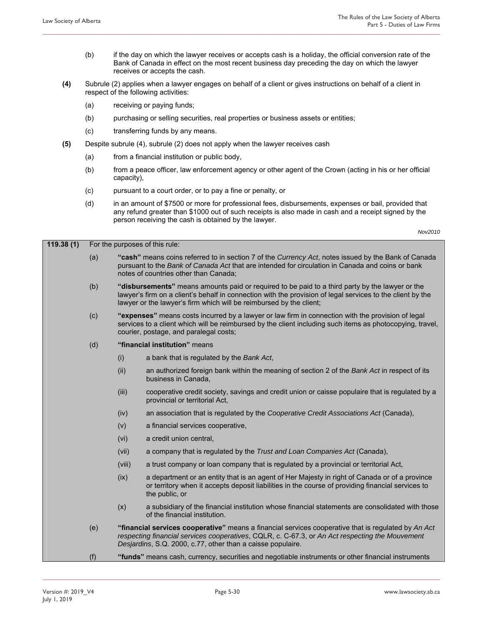- (b) if the day on which the lawyer receives or accepts cash is a holiday, the official conversion rate of the Bank of Canada in effect on the most recent business day preceding the day on which the lawyer receives or accepts the cash.
- **(4)** Subrule (2) applies when a lawyer engages on behalf of a client or gives instructions on behalf of a client in respect of the following activities:

- (a) receiving or paying funds;
- (b) purchasing or selling securities, real properties or business assets or entities;
- (c) transferring funds by any means.
- **(5)** Despite subrule (4), subrule (2) does not apply when the lawyer receives cash
	- (a) from a financial institution or public body,
	- (b) from a peace officer, law enforcement agency or other agent of the Crown (acting in his or her official capacity),
	- (c) pursuant to a court order, or to pay a fine or penalty, or
	- (d) in an amount of \$7500 or more for professional fees, disbursements, expenses or bail, provided that any refund greater than \$1000 out of such receipts is also made in cash and a receipt signed by the person receiving the cash is obtained by the lawyer.

*Nov2010* 

| 119.38(1) | For the purposes of this rule: |  |
|-----------|--------------------------------|--|
|-----------|--------------------------------|--|

- (a) **"cash"** means coins referred to in section 7 of the *Currency Act*, notes issued by the Bank of Canada pursuant to the *Bank of Canada Act* that are intended for circulation in Canada and coins or bank notes of countries other than Canada;
- (b) **"disbursements"** means amounts paid or required to be paid to a third party by the lawyer or the lawyer's firm on a client's behalf in connection with the provision of legal services to the client by the lawyer or the lawyer's firm which will be reimbursed by the client;
- (c) **"expenses"** means costs incurred by a lawyer or law firm in connection with the provision of legal services to a client which will be reimbursed by the client including such items as photocopying, travel, courier, postage, and paralegal costs;
- (d) **"financial institution"** means
	- (i) a bank that is regulated by the *Bank Act*,
	- (ii) an authorized foreign bank within the meaning of section 2 of the *Bank Act* in respect of its business in Canada,
	- (iii) cooperative credit society, savings and credit union or caisse populaire that is regulated by a provincial or territorial Act,
	- (iv) an association that is regulated by the *Cooperative Credit Associations Act* (Canada),
	- (v) a financial services cooperative,
	- (vi) a credit union central,
	- (vii) a company that is regulated by the *Trust and Loan Companies Act* (Canada),
	- (viii) a trust company or loan company that is regulated by a provincial or territorial Act,
	- (ix) a department or an entity that is an agent of Her Majesty in right of Canada or of a province or territory when it accepts deposit liabilities in the course of providing financial services to the public, or
	- (x) a subsidiary of the financial institution whose financial statements are consolidated with those of the financial institution.
- (e) **"financial services cooperative"** means a financial services cooperative that is regulated by *An Act respecting financial services cooperatives*, CQLR, c. C-67.3, or *An Act respecting the Mouvement Desjardins*, S.Q. 2000, c.77, other than a caisse populaire.
- (f) **"funds"** means cash, currency, securities and negotiable instruments or other financial instruments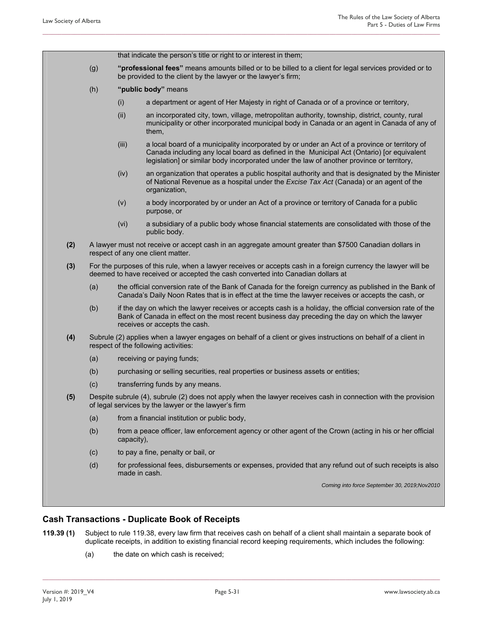|     |                                                                                                                                                                                                   |                                                                                                                                                        | that indicate the person's title or right to or interest in them;                                                                                                                                                                                                                       |  |  |
|-----|---------------------------------------------------------------------------------------------------------------------------------------------------------------------------------------------------|--------------------------------------------------------------------------------------------------------------------------------------------------------|-----------------------------------------------------------------------------------------------------------------------------------------------------------------------------------------------------------------------------------------------------------------------------------------|--|--|
|     | (g)                                                                                                                                                                                               |                                                                                                                                                        | "professional fees" means amounts billed or to be billed to a client for legal services provided or to<br>be provided to the client by the lawyer or the lawyer's firm;                                                                                                                 |  |  |
|     | (h)                                                                                                                                                                                               |                                                                                                                                                        | "public body" means                                                                                                                                                                                                                                                                     |  |  |
|     |                                                                                                                                                                                                   | (i)                                                                                                                                                    | a department or agent of Her Majesty in right of Canada or of a province or territory,                                                                                                                                                                                                  |  |  |
|     |                                                                                                                                                                                                   | (ii)                                                                                                                                                   | an incorporated city, town, village, metropolitan authority, township, district, county, rural<br>municipality or other incorporated municipal body in Canada or an agent in Canada of any of<br>them,                                                                                  |  |  |
|     |                                                                                                                                                                                                   | (iii)                                                                                                                                                  | a local board of a municipality incorporated by or under an Act of a province or territory of<br>Canada including any local board as defined in the Municipal Act (Ontario) [or equivalent<br>legislation] or similar body incorporated under the law of another province or territory, |  |  |
|     |                                                                                                                                                                                                   | (iv)                                                                                                                                                   | an organization that operates a public hospital authority and that is designated by the Minister<br>of National Revenue as a hospital under the Excise Tax Act (Canada) or an agent of the<br>organization,                                                                             |  |  |
|     |                                                                                                                                                                                                   | (v)                                                                                                                                                    | a body incorporated by or under an Act of a province or territory of Canada for a public<br>purpose, or                                                                                                                                                                                 |  |  |
|     |                                                                                                                                                                                                   | (vi)                                                                                                                                                   | a subsidiary of a public body whose financial statements are consolidated with those of the<br>public body.                                                                                                                                                                             |  |  |
| (2) |                                                                                                                                                                                                   |                                                                                                                                                        | A lawyer must not receive or accept cash in an aggregate amount greater than \$7500 Canadian dollars in<br>respect of any one client matter.                                                                                                                                            |  |  |
| (3) | For the purposes of this rule, when a lawyer receives or accepts cash in a foreign currency the lawyer will be<br>deemed to have received or accepted the cash converted into Canadian dollars at |                                                                                                                                                        |                                                                                                                                                                                                                                                                                         |  |  |
|     | (a)                                                                                                                                                                                               |                                                                                                                                                        | the official conversion rate of the Bank of Canada for the foreign currency as published in the Bank of<br>Canada's Daily Noon Rates that is in effect at the time the lawyer receives or accepts the cash, or                                                                          |  |  |
|     | (b)                                                                                                                                                                                               |                                                                                                                                                        | if the day on which the lawyer receives or accepts cash is a holiday, the official conversion rate of the<br>Bank of Canada in effect on the most recent business day preceding the day on which the lawyer<br>receives or accepts the cash.                                            |  |  |
| (4) |                                                                                                                                                                                                   | Subrule (2) applies when a lawyer engages on behalf of a client or gives instructions on behalf of a client in<br>respect of the following activities: |                                                                                                                                                                                                                                                                                         |  |  |
|     | (a)                                                                                                                                                                                               |                                                                                                                                                        | receiving or paying funds;                                                                                                                                                                                                                                                              |  |  |
|     | (b)                                                                                                                                                                                               |                                                                                                                                                        | purchasing or selling securities, real properties or business assets or entities;                                                                                                                                                                                                       |  |  |
|     | (c)                                                                                                                                                                                               |                                                                                                                                                        | transferring funds by any means.                                                                                                                                                                                                                                                        |  |  |
| (5) | Despite subrule (4), subrule (2) does not apply when the lawyer receives cash in connection with the provision<br>of legal services by the lawyer or the lawyer's firm                            |                                                                                                                                                        |                                                                                                                                                                                                                                                                                         |  |  |
|     | (a)                                                                                                                                                                                               |                                                                                                                                                        | from a financial institution or public body,                                                                                                                                                                                                                                            |  |  |
|     | (b)                                                                                                                                                                                               | capacity),                                                                                                                                             | from a peace officer, law enforcement agency or other agent of the Crown (acting in his or her official                                                                                                                                                                                 |  |  |
|     | (c)                                                                                                                                                                                               |                                                                                                                                                        | to pay a fine, penalty or bail, or                                                                                                                                                                                                                                                      |  |  |
|     | (d)                                                                                                                                                                                               |                                                                                                                                                        | for professional fees, disbursements or expenses, provided that any refund out of such receipts is also<br>made in cash.                                                                                                                                                                |  |  |
|     |                                                                                                                                                                                                   |                                                                                                                                                        | Coming into force September 30, 2019; Nov2010                                                                                                                                                                                                                                           |  |  |
|     |                                                                                                                                                                                                   |                                                                                                                                                        |                                                                                                                                                                                                                                                                                         |  |  |

**119.39 (1)** Subject to rule 119.38, every law firm that receives cash on behalf of a client shall maintain a separate book of duplicate receipts, in addition to existing financial record keeping requirements, which includes the following:

**\_\_\_\_\_\_\_\_\_\_\_\_\_\_\_\_\_\_\_\_\_\_\_\_\_\_\_\_\_\_\_\_\_\_\_\_\_\_\_\_\_\_\_\_\_\_\_\_\_\_\_\_\_\_\_\_\_\_\_\_\_\_\_\_\_\_\_\_\_\_\_\_\_\_\_\_\_\_\_\_\_\_\_\_\_\_\_\_\_\_\_\_\_\_\_\_\_\_\_\_\_\_\_\_\_\_\_\_\_\_\_\_\_\_\_\_\_\_\_\_\_\_\_\_\_\_** 

(a) the date on which cash is received;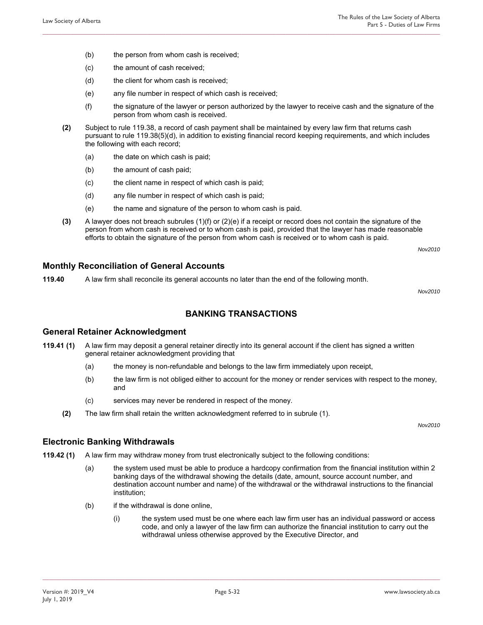- (b) the person from whom cash is received;
- (c) the amount of cash received;
- (d) the client for whom cash is received;
- (e) any file number in respect of which cash is received;
- (f) the signature of the lawyer or person authorized by the lawyer to receive cash and the signature of the person from whom cash is received.
- **(2)** Subject to rule 119.38, a record of cash payment shall be maintained by every law firm that returns cash pursuant to rule 119.38(5)(d), in addition to existing financial record keeping requirements, and which includes the following with each record;

- (a) the date on which cash is paid;
- (b) the amount of cash paid;
- (c) the client name in respect of which cash is paid;
- (d) any file number in respect of which cash is paid;
- (e) the name and signature of the person to whom cash is paid.
- **(3)** A lawyer does not breach subrules (1)(f) or (2)(e) if a receipt or record does not contain the signature of the person from whom cash is received or to whom cash is paid, provided that the lawyer has made reasonable efforts to obtain the signature of the person from whom cash is received or to whom cash is paid.

*Nov2010* 

#### **Monthly Reconciliation of General Accounts**

**119.40** A law firm shall reconcile its general accounts no later than the end of the following month.

*Nov2010* 

### **BANKING TRANSACTIONS**

#### **General Retainer Acknowledgment**

- **119.41 (1)** A law firm may deposit a general retainer directly into its general account if the client has signed a written general retainer acknowledgment providing that
	- (a) the money is non-refundable and belongs to the law firm immediately upon receipt,
	- (b) the law firm is not obliged either to account for the money or render services with respect to the money, and
	- (c) services may never be rendered in respect of the money.
	- **(2)** The law firm shall retain the written acknowledgment referred to in subrule (1).

*Nov2010* 

#### **Electronic Banking Withdrawals**

- **119.42 (1)** A law firm may withdraw money from trust electronically subject to the following conditions:
	- (a) the system used must be able to produce a hardcopy confirmation from the financial institution within 2 banking days of the withdrawal showing the details (date, amount, source account number, and destination account number and name) of the withdrawal or the withdrawal instructions to the financial institution;
	- (b) if the withdrawal is done online,
		- (i) the system used must be one where each law firm user has an individual password or access code, and only a lawyer of the law firm can authorize the financial institution to carry out the withdrawal unless otherwise approved by the Executive Director, and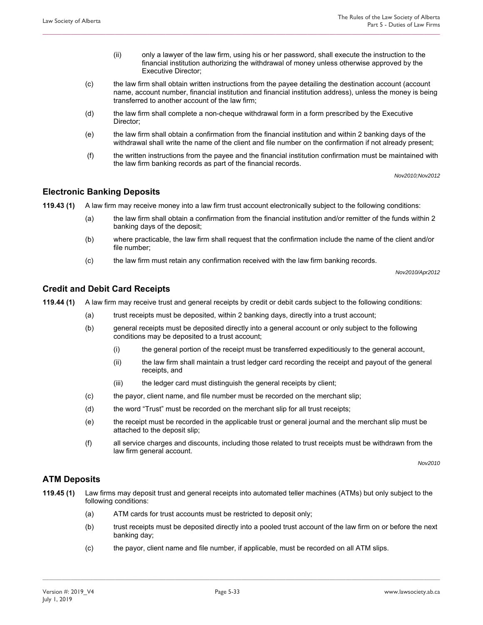- (ii) only a lawyer of the law firm, using his or her password, shall execute the instruction to the financial institution authorizing the withdrawal of money unless otherwise approved by the Executive Director;
- (c) the law firm shall obtain written instructions from the payee detailing the destination account (account name, account number, financial institution and financial institution address), unless the money is being transferred to another account of the law firm;
- (d) the law firm shall complete a non-cheque withdrawal form in a form prescribed by the Executive Director;

- (e) the law firm shall obtain a confirmation from the financial institution and within 2 banking days of the withdrawal shall write the name of the client and file number on the confirmation if not already present;
- (f) the written instructions from the payee and the financial institution confirmation must be maintained with the law firm banking records as part of the financial records.

*Nov2010;Nov2012* 

#### **Electronic Banking Deposits**

**119.43 (1)** A law firm may receive money into a law firm trust account electronically subject to the following conditions:

- (a) the law firm shall obtain a confirmation from the financial institution and/or remitter of the funds within 2 banking days of the deposit;
- (b) where practicable, the law firm shall request that the confirmation include the name of the client and/or file number;
- (c) the law firm must retain any confirmation received with the law firm banking records.

*Nov2010/Apr2012* 

### **Credit and Debit Card Receipts**

**119.44 (1)** A law firm may receive trust and general receipts by credit or debit cards subject to the following conditions:

- (a) trust receipts must be deposited, within 2 banking days, directly into a trust account;
- (b) general receipts must be deposited directly into a general account or only subject to the following conditions may be deposited to a trust account;
	- (i) the general portion of the receipt must be transferred expeditiously to the general account,
	- (ii) the law firm shall maintain a trust ledger card recording the receipt and payout of the general receipts, and
	- (iii) the ledger card must distinguish the general receipts by client;
- (c) the payor, client name, and file number must be recorded on the merchant slip;
- (d) the word "Trust" must be recorded on the merchant slip for all trust receipts;
- (e) the receipt must be recorded in the applicable trust or general journal and the merchant slip must be attached to the deposit slip;
- (f) all service charges and discounts, including those related to trust receipts must be withdrawn from the law firm general account.

*Nov2010* 

#### **ATM Deposits**

- **119.45 (1)** Law firms may deposit trust and general receipts into automated teller machines (ATMs) but only subject to the following conditions:
	- (a) ATM cards for trust accounts must be restricted to deposit only;
	- (b) trust receipts must be deposited directly into a pooled trust account of the law firm on or before the next banking day;
	- (c) the payor, client name and file number, if applicable, must be recorded on all ATM slips.